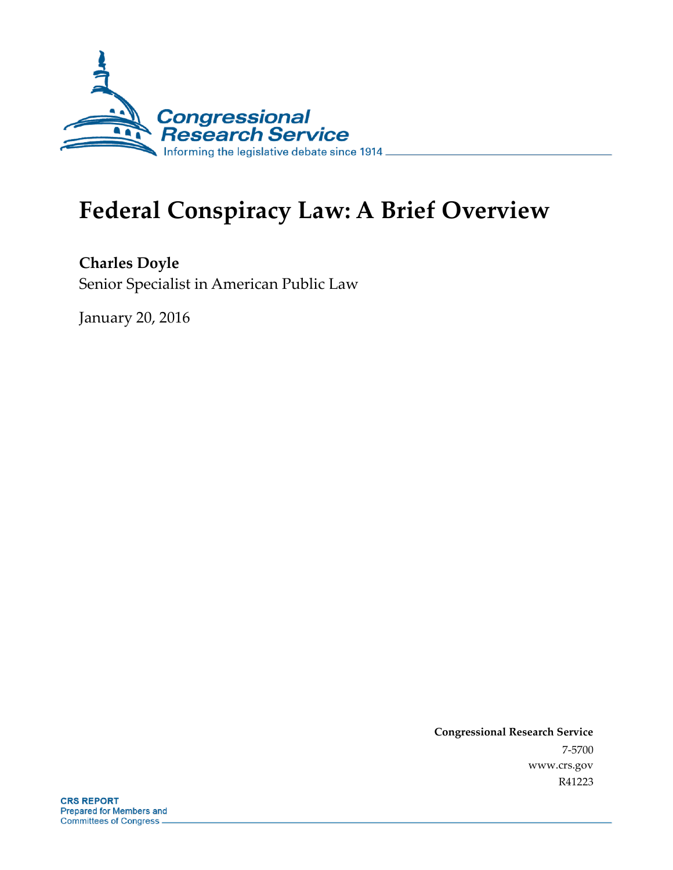

# **Federal Conspiracy Law: A Brief Overview**

**Charles Doyle** Senior Specialist in American Public Law

January 20, 2016

**Congressional Research Service** 7-5700 www.crs.gov R41223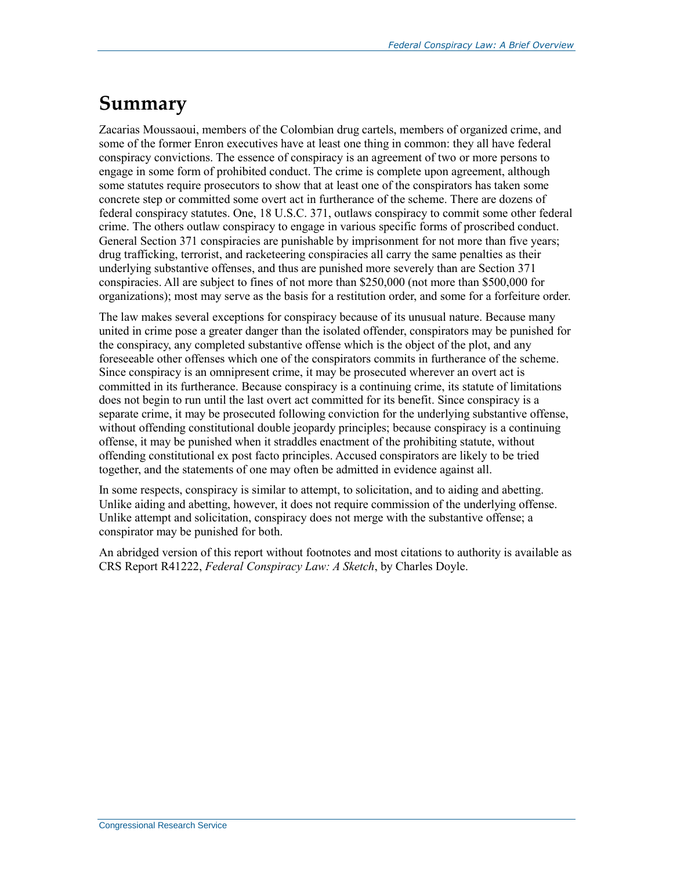## **Summary**

Zacarias Moussaoui, members of the Colombian drug cartels, members of organized crime, and some of the former Enron executives have at least one thing in common: they all have federal conspiracy convictions. The essence of conspiracy is an agreement of two or more persons to engage in some form of prohibited conduct. The crime is complete upon agreement, although some statutes require prosecutors to show that at least one of the conspirators has taken some concrete step or committed some overt act in furtherance of the scheme. There are dozens of federal conspiracy statutes. One, 18 U.S.C. 371, outlaws conspiracy to commit some other federal crime. The others outlaw conspiracy to engage in various specific forms of proscribed conduct. General Section 371 conspiracies are punishable by imprisonment for not more than five years; drug trafficking, terrorist, and racketeering conspiracies all carry the same penalties as their underlying substantive offenses, and thus are punished more severely than are Section 371 conspiracies. All are subject to fines of not more than \$250,000 (not more than \$500,000 for organizations); most may serve as the basis for a restitution order, and some for a forfeiture order.

The law makes several exceptions for conspiracy because of its unusual nature. Because many united in crime pose a greater danger than the isolated offender, conspirators may be punished for the conspiracy, any completed substantive offense which is the object of the plot, and any foreseeable other offenses which one of the conspirators commits in furtherance of the scheme. Since conspiracy is an omnipresent crime, it may be prosecuted wherever an overt act is committed in its furtherance. Because conspiracy is a continuing crime, its statute of limitations does not begin to run until the last overt act committed for its benefit. Since conspiracy is a separate crime, it may be prosecuted following conviction for the underlying substantive offense, without offending constitutional double jeopardy principles; because conspiracy is a continuing offense, it may be punished when it straddles enactment of the prohibiting statute, without offending constitutional ex post facto principles. Accused conspirators are likely to be tried together, and the statements of one may often be admitted in evidence against all.

In some respects, conspiracy is similar to attempt, to solicitation, and to aiding and abetting. Unlike aiding and abetting, however, it does not require commission of the underlying offense. Unlike attempt and solicitation, conspiracy does not merge with the substantive offense; a conspirator may be punished for both.

An abridged version of this report without footnotes and most citations to authority is available as CRS Report R41222, *Federal Conspiracy Law: A Sketch*, by Charles Doyle.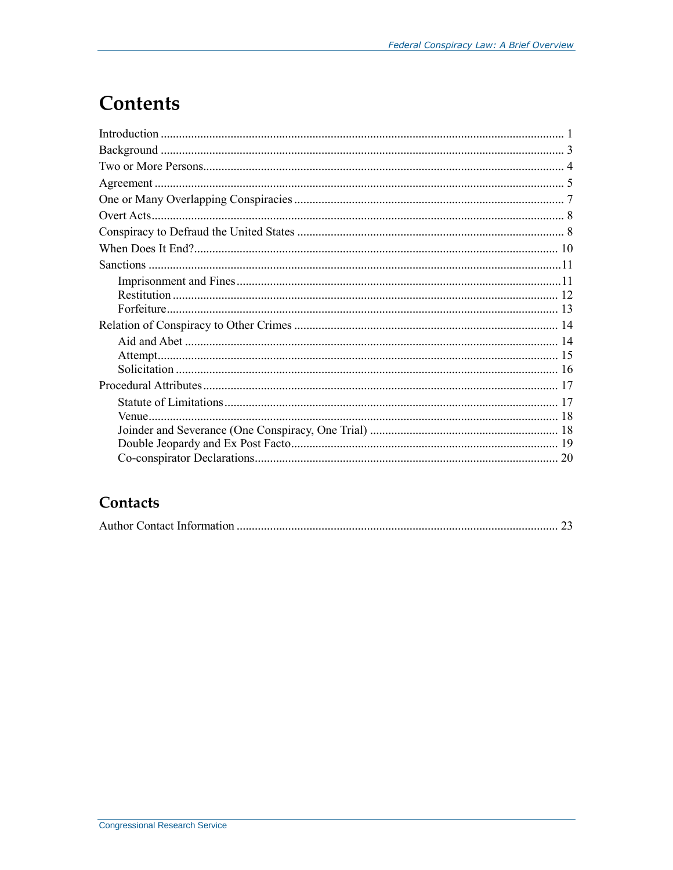## **Contents**

### Contacts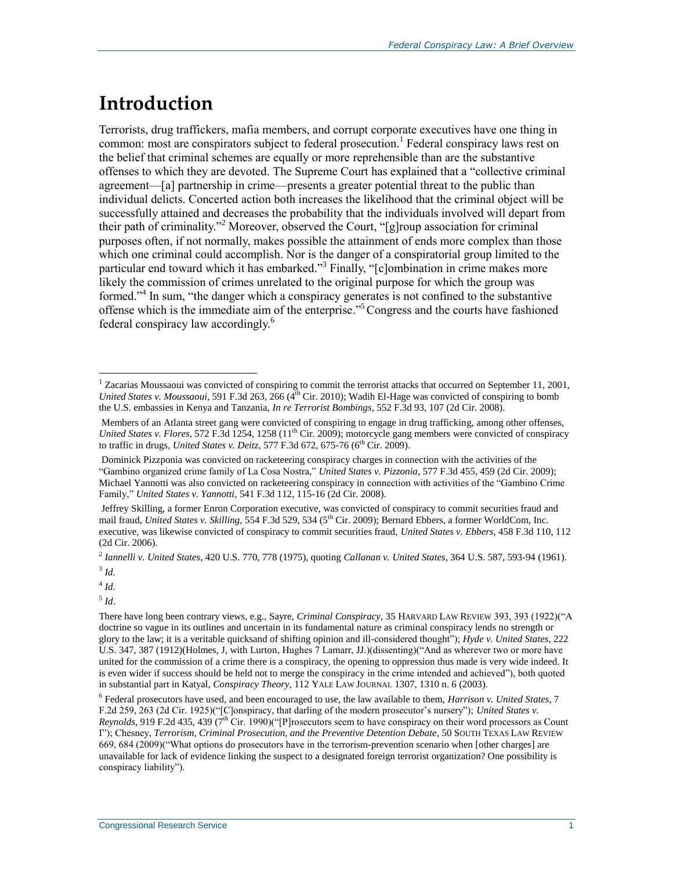## **Introduction**

Terrorists, drug traffickers, mafia members, and corrupt corporate executives have one thing in common: most are conspirators subject to federal prosecution.<sup>1</sup> Federal conspiracy laws rest on the belief that criminal schemes are equally or more reprehensible than are the substantive offenses to which they are devoted. The Supreme Court has explained that a "collective criminal agreement—[a] partnership in crime—presents a greater potential threat to the public than individual delicts. Concerted action both increases the likelihood that the criminal object will be successfully attained and decreases the probability that the individuals involved will depart from their path of criminality."<sup>2</sup> Moreover, observed the Court, "[g]roup association for criminal purposes often, if not normally, makes possible the attainment of ends more complex than those which one criminal could accomplish. Nor is the danger of a conspiratorial group limited to the particular end toward which it has embarked."<sup>3</sup> Finally, "[c]ombination in crime makes more likely the commission of crimes unrelated to the original purpose for which the group was formed."<sup>4</sup> In sum, "the danger which a conspiracy generates is not confined to the substantive offense which is the immediate aim of the enterprise." <sup>5</sup>Congress and the courts have fashioned federal conspiracy law accordingly.<sup>6</sup>

 $\overline{a}$ 

4 *Id.* 5 *Id*.

 $1$  Zacarias Moussaoui was convicted of conspiring to commit the terrorist attacks that occurred on September 11, 2001, *United States v. Moussaoui*, 591 F.3d 263, 266 (4<sup>th</sup> Cir. 2010); Wadih El-Hage was convicted of conspiring to bomb the U.S. embassies in Kenya and Tanzania, *In re Terrorist Bombings*, 552 F.3d 93, 107 (2d Cir. 2008).

Members of an Atlanta street gang were convicted of conspiring to engage in drug trafficking, among other offenses, *United States v. Flores*, 572 F.3d 1254, 1258 (11<sup>th</sup> Cir. 2009); motorcycle gang members were convicted of conspiracy to traffic in drugs, *United States v. Deitz*, 577 F.3d 672, 675-76 (6<sup>th</sup> Cir. 2009).

Dominick Pizzponia was convicted on racketeering conspiracy charges in connection with the activities of the "Gambino organized crime family of La Cosa Nostra," *United States v. Pizzonia*, 577 F.3d 455, 459 (2d Cir. 2009); Michael Yannotti was also convicted on racketeering conspiracy in connection with activities of the "Gambino Crime Family," *United States v. Yannotti*, 541 F.3d 112, 115-16 (2d Cir. 2008).

Jeffrey Skilling, a former Enron Corporation executive, was convicted of conspiracy to commit securities fraud and mail fraud, *United States v. Skilling*, 554 F.3d 529, 534 (5<sup>th</sup> Cir. 2009); Bernard Ebbers, a former WorldCom, Inc. executive, was likewise convicted of conspiracy to commit securities fraud, *United States v. Ebbers*, 458 F.3d 110, 112 (2d Cir. 2006).

<sup>2</sup> *Iannelli v. United States*, 420 U.S. 770, 778 (1975), quoting *Callanan v. United States*, 364 U.S. 587, 593-94 (1961). 3 *Id.*

There have long been contrary views, e.g., Sayre, *Criminal Conspiracy*, 35 HARVARD LAW REVIEW 393, 393 (1922)("A doctrine so vague in its outlines and uncertain in its fundamental nature as criminal conspiracy lends no strength or glory to the law; it is a veritable quicksand of shifting opinion and ill-considered thought"); *Hyde v. United States*, 222 U.S. 347, 387 (1912)(Holmes, J, with Lurton, Hughes 7 Lamarr, JJ.)(dissenting)("And as wherever two or more have united for the commission of a crime there is a conspiracy, the opening to oppression thus made is very wide indeed. It is even wider if success should be held not to merge the conspiracy in the crime intended and achieved"), both quoted in substantial part in Katyal, *Conspiracy Theory*, 112 YALE LAW JOURNAL 1307, 1310 n. 6 (2003).

<sup>6</sup> Federal prosecutors have used, and been encouraged to use, the law available to them, *Harrison v. United States*, 7 F.2d 259, 263 (2d Cir. 1925)("[C]onspiracy, that darling of the modern prosecutor's nursery"); *United States v. Reynolds*, 919 F.2d 435, 439 (7<sup>th</sup> Cir. 1990)("[P]rosecutors seem to have conspiracy on their word processors as Count I"); Chesney, *Terrorism, Criminal Prosecution, and the Preventive Detention Debate*, 50 SOUTH TEXAS LAW REVIEW 669, 684 (2009)("What options do prosecutors have in the terrorism-prevention scenario when [other charges] are unavailable for lack of evidence linking the suspect to a designated foreign terrorist organization? One possibility is conspiracy liability").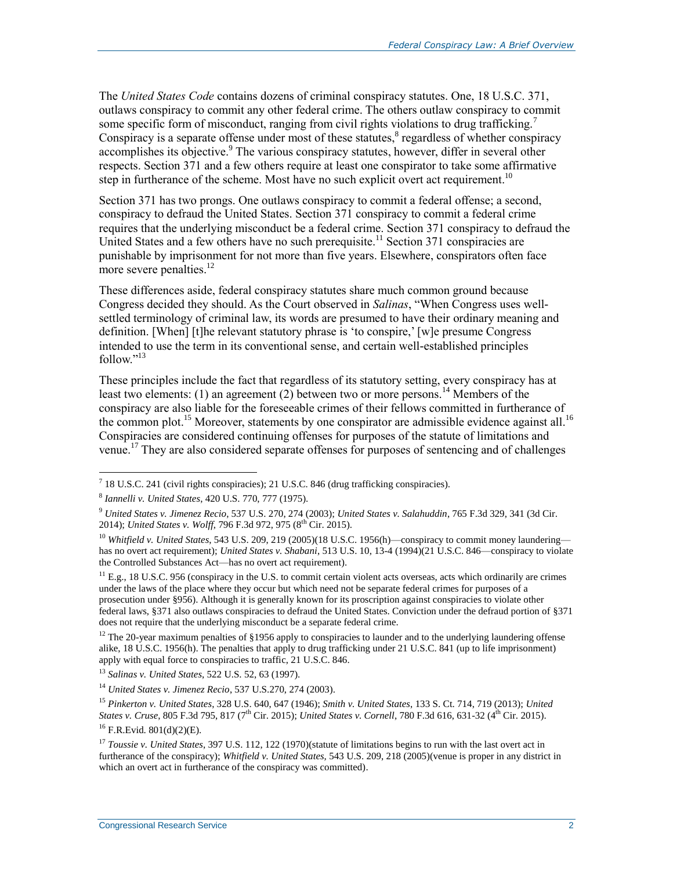The *United States Code* contains dozens of criminal conspiracy statutes. One, 18 U.S.C. 371, outlaws conspiracy to commit any other federal crime. The others outlaw conspiracy to commit some specific form of misconduct, ranging from civil rights violations to drug trafficking.<sup>7</sup> Conspiracy is a separate offense under most of these statutes, $\delta$  regardless of whether conspiracy accomplishes its objective.<sup>9</sup> The various conspiracy statutes, however, differ in several other respects. Section 371 and a few others require at least one conspirator to take some affirmative step in furtherance of the scheme. Most have no such explicit overt act requirement.<sup>10</sup>

Section 371 has two prongs. One outlaws conspiracy to commit a federal offense; a second, conspiracy to defraud the United States. Section 371 conspiracy to commit a federal crime requires that the underlying misconduct be a federal crime. Section 371 conspiracy to defraud the United States and a few others have no such prerequisite.<sup>11</sup> Section 371 conspiracies are punishable by imprisonment for not more than five years. Elsewhere, conspirators often face more severe penalties. $12$ 

These differences aside, federal conspiracy statutes share much common ground because Congress decided they should. As the Court observed in *Salinas*, "When Congress uses wellsettled terminology of criminal law, its words are presumed to have their ordinary meaning and definition. [When] [t]he relevant statutory phrase is 'to conspire,' [w]e presume Congress intended to use the term in its conventional sense, and certain well-established principles follow $"$ <sup>13</sup>

These principles include the fact that regardless of its statutory setting, every conspiracy has at least two elements: (1) an agreement (2) between two or more persons.<sup>14</sup> Members of the conspiracy are also liable for the foreseeable crimes of their fellows committed in furtherance of the common plot.<sup>15</sup> Moreover, statements by one conspirator are admissible evidence against all.<sup>16</sup> Conspiracies are considered continuing offenses for purposes of the statute of limitations and venue.<sup>17</sup> They are also considered separate offenses for purposes of sentencing and of challenges

 $11$  E.g., 18 U.S.C. 956 (conspiracy in the U.S. to commit certain violent acts overseas, acts which ordinarily are crimes under the laws of the place where they occur but which need not be separate federal crimes for purposes of a prosecution under §956). Although it is generally known for its proscription against conspiracies to violate other federal laws, §371 also outlaws conspiracies to defraud the United States. Conviction under the defraud portion of §371 does not require that the underlying misconduct be a separate federal crime.

<sup>12</sup> The 20-year maximum penalties of §1956 apply to conspiracies to launder and to the underlying laundering offense alike, 18 U.S.C. 1956(h). The penalties that apply to drug trafficking under 21 U.S.C. 841 (up to life imprisonment) apply with equal force to conspiracies to traffic, 21 U.S.C. 846.

<sup>13</sup> *Salinas v. United States*, 522 U.S. 52, 63 (1997).

<sup>15</sup> *Pinkerton v. United States*, 328 U.S. 640, 647 (1946); *Smith v. United States*, 133 S. Ct. 714, 719 (2013); *United States v. Cruse*, 805 F.3d 795, 817 (7<sup>th</sup> Cir. 2015); *United States v. Cornell*, 780 F.3d 616, 631-32 (4<sup>th</sup> Cir. 2015).

<sup>16</sup> F.R.Evid. 801(d)(2)(E).

 7 18 U.S.C. 241 (civil rights conspiracies); 21 U.S.C. 846 (drug trafficking conspiracies).

<sup>8</sup> *Iannelli v. United States*, 420 U.S. 770, 777 (1975).

<sup>9</sup> *United States v. Jimenez Recio*, 537 U.S. 270, 274 (2003); *United States v. Salahuddin*, 765 F.3d 329, 341 (3d Cir. 2014); *United States v. Wolff*, 796 F.3d 972, 975 (8<sup>th</sup> Cir. 2015).

<sup>10</sup> *Whitfield v. United States*, 543 U.S. 209, 219 (2005)(18 U.S.C. 1956(h)—conspiracy to commit money laundering has no overt act requirement); *United States v. Shabani*, 513 U.S. 10, 13-4 (1994)(21 U.S.C. 846—conspiracy to violate the Controlled Substances Act—has no overt act requirement).

<sup>14</sup> *United States v. Jimenez Recio*, 537 U.S.270, 274 (2003).

<sup>&</sup>lt;sup>17</sup> *Toussie v. United States*, 397 U.S. 112, 122 (1970)(statute of limitations begins to run with the last overt act in furtherance of the conspiracy); *Whitfield v. United States,* 543 U.S. 209, 218 (2005)(venue is proper in any district in which an overt act in furtherance of the conspiracy was committed).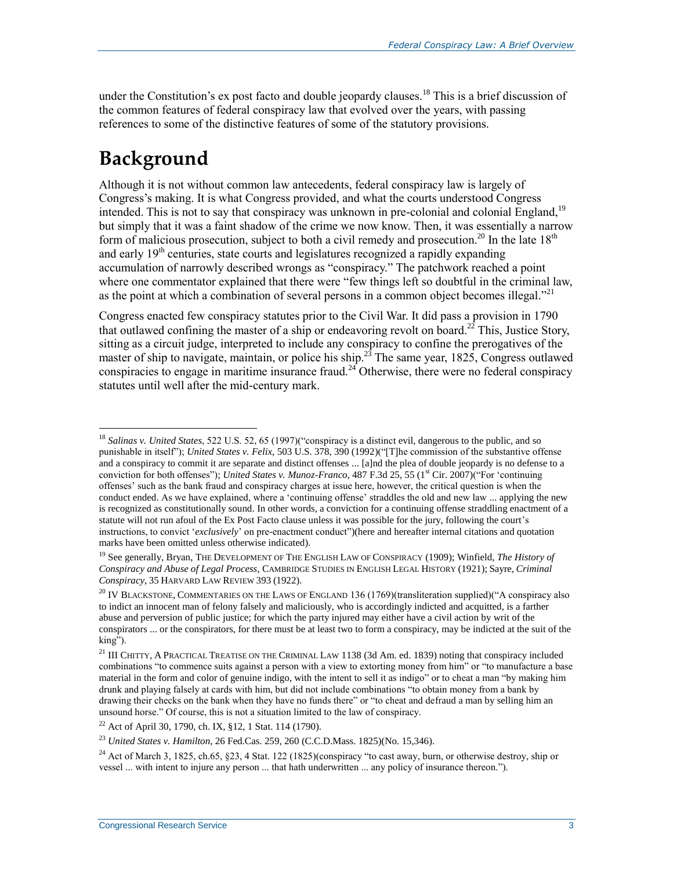under the Constitution's expost facto and double jeopardy clauses.<sup>18</sup> This is a brief discussion of the common features of federal conspiracy law that evolved over the years, with passing references to some of the distinctive features of some of the statutory provisions.

## **Background**

 $\overline{a}$ 

Although it is not without common law antecedents, federal conspiracy law is largely of Congress's making. It is what Congress provided, and what the courts understood Congress intended. This is not to say that conspiracy was unknown in pre-colonial and colonial England,<sup>19</sup> but simply that it was a faint shadow of the crime we now know. Then, it was essentially a narrow form of malicious prosecution, subject to both a civil remedy and prosecution.<sup>20</sup> In the late  $18<sup>th</sup>$ and early  $19<sup>th</sup>$  centuries, state courts and legislatures recognized a rapidly expanding accumulation of narrowly described wrongs as "conspiracy." The patchwork reached a point where one commentator explained that there were "few things left so doubtful in the criminal law, as the point at which a combination of several persons in a common object becomes illegal."<sup>21</sup>

Congress enacted few conspiracy statutes prior to the Civil War. It did pass a provision in 1790 that outlawed confining the master of a ship or endeavoring revolt on board.<sup>22</sup> This, Justice Story, sitting as a circuit judge, interpreted to include any conspiracy to confine the prerogatives of the master of ship to navigate, maintain, or police his ship.<sup>23</sup> The same year,  $1825$ , Congress outlawed conspiracies to engage in maritime insurance fraud.<sup>24</sup> Otherwise, there were no federal conspiracy statutes until well after the mid-century mark.

<sup>19</sup> See generally, Bryan, THE DEVELOPMENT OF THE ENGLISH LAW OF CONSPIRACY (1909); Winfield, *The History of Conspiracy and Abuse of Legal Process*, CAMBRIDGE STUDIES IN ENGLISH LEGAL HISTORY (1921); Sayre, *Criminal Conspiracy*, 35 HARVARD LAW REVIEW 393 (1922).

<sup>22</sup> Act of April 30, 1790, ch. IX, §12, 1 Stat. 114 (1790).

<sup>18</sup> *Salinas v. United States*, 522 U.S. 52, 65 (1997)("conspiracy is a distinct evil, dangerous to the public, and so punishable in itself"); *United States v. Felix*, 503 U.S. 378, 390 (1992)("[T]he commission of the substantive offense and a conspiracy to commit it are separate and distinct offenses ... [a]nd the plea of double jeopardy is no defense to a conviction for both offenses"); *United States v. Munoz-Franco*, 487 F.3d 25, 55 (1<sup>st</sup> Cir. 2007)("For 'continuing offenses' such as the bank fraud and conspiracy charges at issue here, however, the critical question is when the conduct ended. As we have explained, where a 'continuing offense' straddles the old and new law ... applying the new is recognized as constitutionally sound. In other words, a conviction for a continuing offense straddling enactment of a statute will not run afoul of the Ex Post Facto clause unless it was possible for the jury, following the court's instructions, to convict '*exclusively*' on pre-enactment conduct")(here and hereafter internal citations and quotation marks have been omitted unless otherwise indicated).

<sup>&</sup>lt;sup>20</sup> IV BLACKSTONE, COMMENTARIES ON THE LAWS OF ENGLAND 136 (1769)(transliteration supplied)("A conspiracy also to indict an innocent man of felony falsely and maliciously, who is accordingly indicted and acquitted, is a farther abuse and perversion of public justice; for which the party injured may either have a civil action by writ of the conspirators ... or the conspirators, for there must be at least two to form a conspiracy, may be indicted at the suit of the king").

<sup>&</sup>lt;sup>21</sup> III CHITTY, A PRACTICAL TREATISE ON THE CRIMINAL LAW 1138 (3d Am. ed. 1839) noting that conspiracy included combinations "to commence suits against a person with a view to extorting money from him" or "to manufacture a base material in the form and color of genuine indigo, with the intent to sell it as indigo" or to cheat a man "by making him drunk and playing falsely at cards with him, but did not include combinations "to obtain money from a bank by drawing their checks on the bank when they have no funds there" or "to cheat and defraud a man by selling him an unsound horse." Of course, this is not a situation limited to the law of conspiracy.

<sup>23</sup> *United States v. Hamilton*, 26 Fed.Cas. 259, 260 (C.C.D.Mass. 1825)(No. 15,346).

<sup>&</sup>lt;sup>24</sup> Act of March 3, 1825, ch.65, §23, 4 Stat. 122 (1825)(conspiracy "to cast away, burn, or otherwise destroy, ship or vessel ... with intent to injure any person ... that hath underwritten ... any policy of insurance thereon.").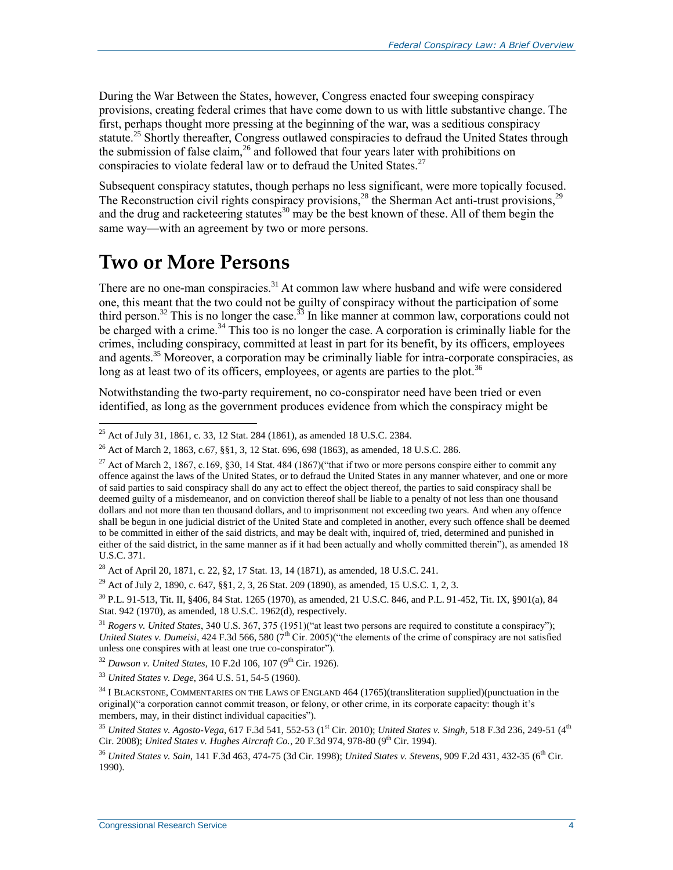During the War Between the States, however, Congress enacted four sweeping conspiracy provisions, creating federal crimes that have come down to us with little substantive change. The first, perhaps thought more pressing at the beginning of the war, was a seditious conspiracy statute.<sup>25</sup> Shortly thereafter, Congress outlawed conspiracies to defraud the United States through the submission of false claim,  $26$  and followed that four years later with prohibitions on conspiracies to violate federal law or to defraud the United States.<sup>27</sup>

Subsequent conspiracy statutes, though perhaps no less significant, were more topically focused. The Reconstruction civil rights conspiracy provisions,  $^{28}$  the Sherman Act anti-trust provisions,  $^{25}$ and the drug and racketeering statutes<sup>30</sup> may be the best known of these. All of them begin the same way—with an agreement by two or more persons.

### **Two or More Persons**

 $\overline{a}$ 

There are no one-man conspiracies.<sup>31</sup> At common law where husband and wife were considered one, this meant that the two could not be guilty of conspiracy without the participation of some third person.<sup>32</sup> This is no longer the case.<sup>33</sup> In like manner at common law, corporations could not be charged with a crime.<sup>34</sup> This too is no longer the case. A corporation is criminally liable for the crimes, including conspiracy, committed at least in part for its benefit, by its officers, employees and agents.<sup>35</sup> Moreover, a corporation may be criminally liable for intra-corporate conspiracies, as long as at least two of its officers, employees, or agents are parties to the plot.<sup>36</sup>

Notwithstanding the two-party requirement, no co-conspirator need have been tried or even identified, as long as the government produces evidence from which the conspiracy might be

<sup>29</sup> Act of July 2, 1890, c. 647, §§1, 2, 3, 26 Stat. 209 (1890), as amended, 15 U.S.C. 1, 2, 3.

<sup>&</sup>lt;sup>25</sup> Act of July 31, 1861, c. 33, 12 Stat. 284 (1861), as amended 18 U.S.C. 2384.

<sup>&</sup>lt;sup>26</sup> Act of March 2, 1863, c.67,  $881, 3$ , 12 Stat. 696, 698 (1863), as amended, 18 U.S.C. 286.

<sup>&</sup>lt;sup>27</sup> Act of March 2, 1867, c.169, §30, 14 Stat. 484 (1867)("that if two or more persons conspire either to commit any offence against the laws of the United States, or to defraud the United States in any manner whatever, and one or more of said parties to said conspiracy shall do any act to effect the object thereof, the parties to said conspiracy shall be deemed guilty of a misdemeanor, and on conviction thereof shall be liable to a penalty of not less than one thousand dollars and not more than ten thousand dollars, and to imprisonment not exceeding two years. And when any offence shall be begun in one judicial district of the United State and completed in another, every such offence shall be deemed to be committed in either of the said districts, and may be dealt with, inquired of, tried, determined and punished in either of the said district, in the same manner as if it had been actually and wholly committed therein"), as amended 18 U.S.C. 371.

<sup>&</sup>lt;sup>28</sup> Act of April 20, 1871, c. 22, §2, 17 Stat. 13, 14 (1871), as amended, 18 U.S.C. 241.

<sup>30</sup> P.L. 91-513, Tit. II, §406, 84 Stat. 1265 (1970), as amended, 21 U.S.C. 846, and P.L. 91-452, Tit. IX, §901(a), 84 Stat. 942 (1970), as amended, 18 U.S.C. 1962(d), respectively.

<sup>31</sup> *Rogers v. United States*, 340 U.S. 367, 375 (1951)("at least two persons are required to constitute a conspiracy"); *United States v. Dumeisi*, 424 F.3d 566, 580 (7<sup>th</sup> Cir. 2005)("the elements of the crime of conspiracy are not satisfied unless one conspires with at least one true co-conspirator").

<sup>&</sup>lt;sup>32</sup> Dawson v. United States, 10 F.2d 106, 107 (9<sup>th</sup> Cir. 1926).

<sup>33</sup> *United States v. Dege*, 364 U.S. 51, 54-5 (1960).

<sup>&</sup>lt;sup>34</sup> I BLACKSTONE, COMMENTARIES ON THE LAWS OF ENGLAND 464 (1765)(transliteration supplied)(punctuation in the original)("a corporation cannot commit treason, or felony, or other crime, in its corporate capacity: though it's members, may, in their distinct individual capacities").

<sup>&</sup>lt;sup>35</sup> *United States v. Agosto-Vega,* 617 F.3d 541, 552-53 (1<sup>st</sup> Cir. 2010); *United States v. Singh,* 518 F.3d 236, 249-51 (4<sup>th</sup> Cir. 2008); *United States v. Hughes Aircraft Co.*, 20 F.3d 974, 978-80 (9<sup>th</sup> Cir. 1994).

<sup>36</sup> *United States v. Sain*, 141 F.3d 463, 474-75 (3d Cir. 1998); *United States v. Stevens*, 909 F.2d 431, 432-35 (6th Cir. 1990).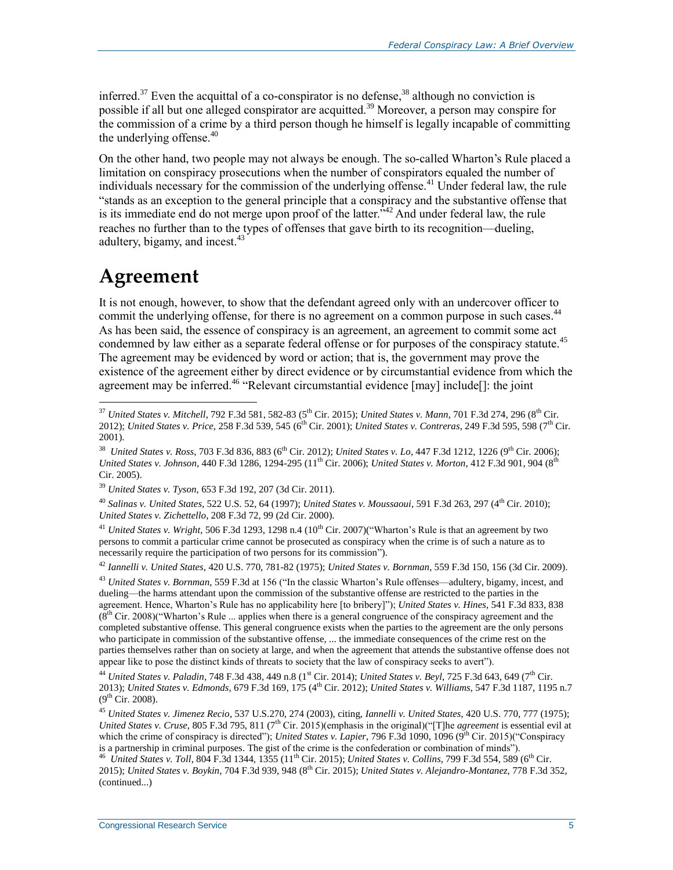inferred.<sup>37</sup> Even the acquittal of a co-conspirator is no defense,  $38$  although no conviction is possible if all but one alleged conspirator are acquitted.<sup>39</sup> Moreover, a person may conspire for the commission of a crime by a third person though he himself is legally incapable of committing the underlying offense. $40$ 

On the other hand, two people may not always be enough. The so-called Wharton's Rule placed a limitation on conspiracy prosecutions when the number of conspirators equaled the number of individuals necessary for the commission of the underlying offense.<sup>41</sup> Under federal law, the rule "stands as an exception to the general principle that a conspiracy and the substantive offense that is its immediate end do not merge upon proof of the latter.<sup>342</sup> And under federal law, the rule reaches no further than to the types of offenses that gave birth to its recognition—dueling, adultery, bigamy, and incest.<sup>43</sup>

### **Agreement**

 $\overline{a}$ 

It is not enough, however, to show that the defendant agreed only with an undercover officer to commit the underlying offense, for there is no agreement on a common purpose in such cases.<sup>44</sup> As has been said, the essence of conspiracy is an agreement, an agreement to commit some act condemned by law either as a separate federal offense or for purposes of the conspiracy statute.<sup>45</sup> The agreement may be evidenced by word or action; that is, the government may prove the existence of the agreement either by direct evidence or by circumstantial evidence from which the agreement may be inferred.<sup>46</sup> "Relevant circumstantial evidence  $\lceil \text{may} \rceil$  include $\lceil \cdot \rceil$ : the joint

<sup>42</sup> *Iannelli v. United States*, 420 U.S. 770, 781-82 (1975); *United States v. Bornman*, 559 F.3d 150, 156 (3d Cir. 2009).

<sup>43</sup> *United States v. Bornman*, 559 F.3d at 156 ("In the classic Wharton's Rule offenses—adultery, bigamy, incest, and dueling—the harms attendant upon the commission of the substantive offense are restricted to the parties in the agreement. Hence, Wharton's Rule has no applicability here [to bribery]"); *United States v. Hines*, 541 F.3d 833, 838  $(8<sup>th</sup> Cir. 2008)$ ("Wharton's Rule ... applies when there is a general congruence of the conspiracy agreement and the completed substantive offense. This general congruence exists when the parties to the agreement are the only persons who participate in commission of the substantive offense, ... the immediate consequences of the crime rest on the parties themselves rather than on society at large, and when the agreement that attends the substantive offense does not appear like to pose the distinct kinds of threats to society that the law of conspiracy seeks to avert").

<sup>44</sup> *United States v. Paladin*, 748 F.3d 438, 449 n.8 (1st Cir. 2014); *United States v. Beyl*, 725 F.3d 643, 649 (7th Cir. 2013); *United States v. Edmonds*, 679 F.3d 169, 175 (4<sup>th</sup> Cir. 2012); *United States v. Williams*, 547 F.3d 1187, 1195 n.7  $(9^{th}$  Cir. 2008).

<sup>37</sup> *United States v. Mitchell*, 792 F.3d 581, 582-83 (5th Cir. 2015); *United States v. Mann*, 701 F.3d 274, 296 (8th Cir. 2012); *United States v. Price*, 258 F.3d 539, 545 (6<sup>th</sup> Cir. 2001); *United States v. Contreras*, 249 F.3d 595, 598 (7<sup>th</sup> Cir. 2001).

<sup>&</sup>lt;sup>38</sup> *United States v. Ross*, 703 F.3d 836, 883 (6<sup>th</sup> Cir. 2012); *United States v. Lo*, 447 F.3d 1212, 1226 (9<sup>th</sup> Cir. 2006); *United States v. Johnson,* 440 F.3d 1286, 1294-295 (11<sup>th</sup> Cir. 2006); *United States v. Morton*, 412 F.3d 901, 904 (8<sup>th</sup> Cir. 2005).

<sup>39</sup> *United States v. Tyson*, 653 F.3d 192, 207 (3d Cir. 2011).

<sup>40</sup> *Salinas v. United States*, 522 U.S. 52, 64 (1997); *United States v. Moussaoui*, 591 F.3d 263, 297 (4th Cir. 2010); *United States v. Zichettello*, 208 F.3d 72, 99 (2d Cir. 2000).

<sup>&</sup>lt;sup>41</sup> *United States v. Wright*, 506 F.3d 1293, 1298 n.4 (10<sup>th</sup> Cir. 2007)("Wharton's Rule is that an agreement by two persons to commit a particular crime cannot be prosecuted as conspiracy when the crime is of such a nature as to necessarily require the participation of two persons for its commission").

<sup>45</sup> *United States v. Jimenez Recio*, 537 U.S.270, 274 (2003), citing, *Iannelli v. United States*, 420 U.S. 770, 777 (1975); *United States v. Cruse*, 805 F.3d 795, 811 (7<sup>th</sup> Cir. 2015)(emphasis in the original)("[T]he *agreement* is essential evil at which the crime of conspiracy is directed"); *United States v. Lapier*, 796 F.3d 1090, 1096 (9<sup>th</sup> Cir. 2015)("Conspiracy is a partnership in criminal purposes. The gist of the crime is the confederation or combination of minds").

<sup>&</sup>lt;sup>46</sup> *United States v. Toll*, 804 F.3d 1344, 1355 (11<sup>th</sup> Cir. 2015); *United States v. Collins*, 799 F.3d 554, 589 (6<sup>th</sup> Cir. 2015); *United States v. Boykin*, 704 F.3d 939, 948 (8th Cir. 2015); *United States v. Alejandro-Montanez*, 778 F.3d 352, (continued...)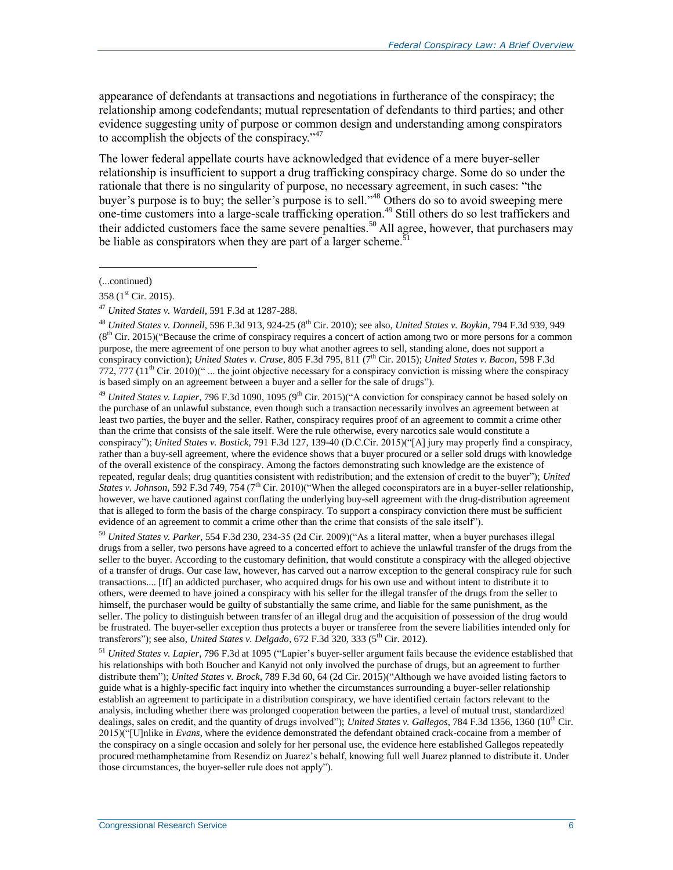appearance of defendants at transactions and negotiations in furtherance of the conspiracy; the relationship among codefendants; mutual representation of defendants to third parties; and other evidence suggesting unity of purpose or common design and understanding among conspirators to accomplish the objects of the conspiracy. $147$ 

The lower federal appellate courts have acknowledged that evidence of a mere buyer-seller relationship is insufficient to support a drug trafficking conspiracy charge. Some do so under the rationale that there is no singularity of purpose, no necessary agreement, in such cases: "the buyer's purpose is to buy; the seller's purpose is to sell."<sup>48</sup> Others do so to avoid sweeping mere one-time customers into a large-scale trafficking operation.<sup>49</sup> Still others do so lest traffickers and their addicted customers face the same severe penalties.<sup>50</sup> All agree, however, that purchasers may be liable as conspirators when they are part of a larger scheme.<sup>51</sup>

<sup>(...</sup>continued)

<sup>358 (</sup> $1<sup>st</sup>$  Cir. 2015).

<sup>47</sup> *United States v. Wardell*, 591 F.3d at 1287-288.

<sup>48</sup> *United States v. Donnell*, 596 F.3d 913, 924-25 (8th Cir. 2010); see also, *United States v. Boykin*, 794 F.3d 939, 949  $(8<sup>th</sup> Cir. 2015)'$  Because the crime of conspiracy requires a concert of action among two or more persons for a common purpose, the mere agreement of one person to buy what another agrees to sell, standing alone, does not support a conspiracy conviction); *United States v. Cruse*, 805 F.3d 795, 811 (7th Cir. 2015); *United States v. Bacon*, 598 F.3d  $772, 777$  ( $11<sup>th</sup>$  Cir. 2010)(" ... the joint objective necessary for a conspiracy conviction is missing where the conspiracy is based simply on an agreement between a buyer and a seller for the sale of drugs").

<sup>&</sup>lt;sup>49</sup> *United States v. Lapier*, 796 F.3d 1090, 1095 (9<sup>th</sup> Cir. 2015)("A conviction for conspiracy cannot be based solely on the purchase of an unlawful substance, even though such a transaction necessarily involves an agreement between at least two parties, the buyer and the seller. Rather, conspiracy requires proof of an agreement to commit a crime other than the crime that consists of the sale itself. Were the rule otherwise, every narcotics sale would constitute a conspiracy"); *United States v. Bostick*, 791 F.3d 127, 139-40 (D.C.Cir. 2015)("[A] jury may properly find a conspiracy, rather than a buy-sell agreement, where the evidence shows that a buyer procured or a seller sold drugs with knowledge of the overall existence of the conspiracy. Among the factors demonstrating such knowledge are the existence of repeated, regular deals; drug quantities consistent with redistribution; and the extension of credit to the buyer"); *United States v. Johnson*, 592 F.3d 749, 754 (7<sup>th</sup> Cir. 2010)("When the alleged coconspirators are in a buyer-seller relationship, however, we have cautioned against conflating the underlying buy-sell agreement with the drug-distribution agreement that is alleged to form the basis of the charge conspiracy. To support a conspiracy conviction there must be sufficient evidence of an agreement to commit a crime other than the crime that consists of the sale itself").

<sup>50</sup> *United States v. Parker*, 554 F.3d 230, 234-35 (2d Cir. 2009)("As a literal matter, when a buyer purchases illegal drugs from a seller, two persons have agreed to a concerted effort to achieve the unlawful transfer of the drugs from the seller to the buyer. According to the customary definition, that would constitute a conspiracy with the alleged objective of a transfer of drugs. Our case law, however, has carved out a narrow exception to the general conspiracy rule for such transactions.... [If] an addicted purchaser, who acquired drugs for his own use and without intent to distribute it to others, were deemed to have joined a conspiracy with his seller for the illegal transfer of the drugs from the seller to himself, the purchaser would be guilty of substantially the same crime, and liable for the same punishment, as the seller. The policy to distinguish between transfer of an illegal drug and the acquisition of possession of the drug would be frustrated. The buyer-seller exception thus protects a buyer or transferee from the severe liabilities intended only for transferors"); see also, *United States v. Delgado*, 672 F.3d 320, 333 (5th Cir. 2012).

<sup>51</sup> *United States v. Lapier*, 796 F.3d at 1095 ("Lapier's buyer-seller argument fails because the evidence established that his relationships with both Boucher and Kanyid not only involved the purchase of drugs, but an agreement to further distribute them"); *United States v. Brock*, 789 F.3d 60, 64 (2d Cir. 2015)("Although we have avoided listing factors to guide what is a highly-specific fact inquiry into whether the circumstances surrounding a buyer-seller relationship establish an agreement to participate in a distribution conspiracy, we have identified certain factors relevant to the analysis, including whether there was prolonged cooperation between the parties, a level of mutual trust, standardized dealings, sales on credit, and the quantity of drugs involved"); *United States v. Gallegos*, 784 F.3d 1356, 1360 (10<sup>th</sup> Cir. 2015)("[U]nlike in *Evans*, where the evidence demonstrated the defendant obtained crack-cocaine from a member of the conspiracy on a single occasion and solely for her personal use, the evidence here established Gallegos repeatedly procured methamphetamine from Resendiz on Juarez's behalf, knowing full well Juarez planned to distribute it. Under those circumstances, the buyer-seller rule does not apply").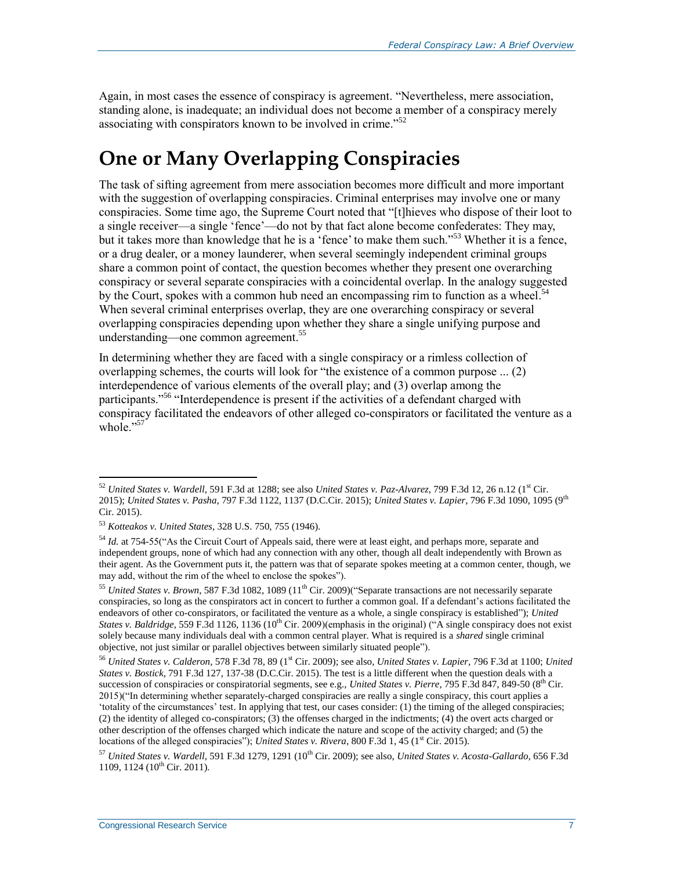Again, in most cases the essence of conspiracy is agreement. "Nevertheless, mere association, standing alone, is inadequate; an individual does not become a member of a conspiracy merely associating with conspirators known to be involved in crime.<sup>552</sup>

## **One or Many Overlapping Conspiracies**

The task of sifting agreement from mere association becomes more difficult and more important with the suggestion of overlapping conspiracies. Criminal enterprises may involve one or many conspiracies. Some time ago, the Supreme Court noted that "[t]hieves who dispose of their loot to a single receiver—a single 'fence'—do not by that fact alone become confederates: They may, but it takes more than knowledge that he is a 'fence' to make them such."<sup>53</sup> Whether it is a fence, or a drug dealer, or a money launderer, when several seemingly independent criminal groups share a common point of contact, the question becomes whether they present one overarching conspiracy or several separate conspiracies with a coincidental overlap. In the analogy suggested by the Court, spokes with a common hub need an encompassing rim to function as a wheel.<sup>54</sup> When several criminal enterprises overlap, they are one overarching conspiracy or several overlapping conspiracies depending upon whether they share a single unifying purpose and understanding—one common agreement. 55

In determining whether they are faced with a single conspiracy or a rimless collection of overlapping schemes, the courts will look for "the existence of a common purpose ... (2) interdependence of various elements of the overall play; and (3) overlap among the participants."<sup>56</sup> "Interdependence is present if the activities of a defendant charged with conspiracy facilitated the endeavors of other alleged co-conspirators or facilitated the venture as a whole  $\cdot$ <sup>57</sup>

<sup>52</sup> *United States v. Wardell*, 591 F.3d at 1288; see also *United States v. Paz-Alvarez*, 799 F.3d 12, 26 n.12 (1st Cir. 2015); *United States v. Pasha*, 797 F.3d 1122, 1137 (D.C.Cir. 2015); *United States v. Lapier*, 796 F.3d 1090, 1095 (9th Cir. 2015).

<sup>53</sup> *Kotteakos v. United States*, 328 U.S. 750, 755 (1946).

<sup>54</sup> *Id.* at 754-55("As the Circuit Court of Appeals said, there were at least eight, and perhaps more, separate and independent groups, none of which had any connection with any other, though all dealt independently with Brown as their agent. As the Government puts it, the pattern was that of separate spokes meeting at a common center, though, we may add, without the rim of the wheel to enclose the spokes").

<sup>&</sup>lt;sup>55</sup> United States v. Brown, 587 F.3d 1082, 1089 (11<sup>th</sup> Cir. 2009) ("Separate transactions are not necessarily separate conspiracies, so long as the conspirators act in concert to further a common goal. If a defendant's actions facilitated the endeavors of other co-conspirators, or facilitated the venture as a whole, a single conspiracy is established"); *United States v. Baldridge*, 559 F.3d 1126, 1136 ( $10^{th}$  Cir. 2009)(emphasis in the original) ("A single conspiracy does not exist solely because many individuals deal with a common central player. What is required is a *shared* single criminal objective, not just similar or parallel objectives between similarly situated people").

<sup>56</sup> *United States v. Calderon*, 578 F.3d 78, 89 (1st Cir. 2009); see also, *United States v. Lapier*, 796 F.3d at 1100; *United States v. Bostick*, 791 F.3d 127, 137-38 (D.C.Cir. 2015). The test is a little different when the question deals with a succession of conspiracies or conspiratorial segments, see e.g., *United States v. Pierre*, 795 F.3d 847, 849-50 (8<sup>th</sup> Cir. 2015)("In determining whether separately-charged conspiracies are really a single conspiracy, this court applies a 'totality of the circumstances' test. In applying that test, our cases consider: (1) the timing of the alleged conspiracies; (2) the identity of alleged co-conspirators; (3) the offenses charged in the indictments; (4) the overt acts charged or other description of the offenses charged which indicate the nature and scope of the activity charged; and (5) the locations of the alleged conspiracies"); *United States v. Rivera*, 800 F.3d 1, 45 (1<sup>st</sup> Cir. 2015).

<sup>57</sup> *United States v. Wardell*, 591 F.3d 1279, 1291 (10th Cir. 2009); see also, *United States v. Acosta-Gallardo*, 656 F.3d 1109, 1124 ( $10^{th}$  Cir. 2011).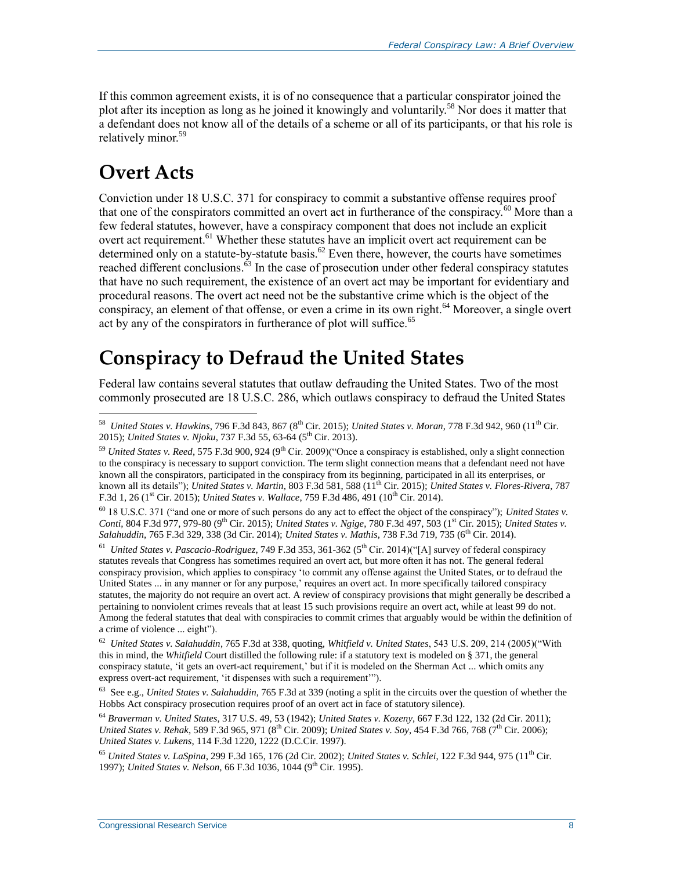If this common agreement exists, it is of no consequence that a particular conspirator joined the plot after its inception as long as he joined it knowingly and voluntarily.<sup>58</sup> Nor does it matter that a defendant does not know all of the details of a scheme or all of its participants, or that his role is relatively minor.<sup>59</sup>

## **Overt Acts**

Conviction under 18 U.S.C. 371 for conspiracy to commit a substantive offense requires proof that one of the conspirators committed an overt act in furtherance of the conspiracy.<sup>60</sup> More than a few federal statutes, however, have a conspiracy component that does not include an explicit overt act requirement.<sup>61</sup> Whether these statutes have an implicit overt act requirement can be determined only on a statute-by-statute basis.<sup>62</sup> Even there, however, the courts have sometimes reached different conclusions.<sup>63</sup> In the case of prosecution under other federal conspiracy statutes that have no such requirement, the existence of an overt act may be important for evidentiary and procedural reasons. The overt act need not be the substantive crime which is the object of the conspiracy, an element of that offense, or even a crime in its own right.<sup>64</sup> Moreover, a single overt act by any of the conspirators in furtherance of plot will suffice.<sup>65</sup>

## **Conspiracy to Defraud the United States**

Federal law contains several statutes that outlaw defrauding the United States. Two of the most commonly prosecuted are 18 U.S.C. 286, which outlaws conspiracy to defraud the United States

<sup>61</sup> United States v. Pascacio-Rodriguez, 749 F.3d 353, 361-362 (5<sup>th</sup> Cir. 2014)("[A] survey of federal conspiracy statutes reveals that Congress has sometimes required an overt act, but more often it has not. The general federal conspiracy provision, which applies to conspiracy 'to commit any offense against the United States, or to defraud the United States ... in any manner or for any purpose,' requires an overt act. In more specifically tailored conspiracy statutes, the majority do not require an overt act. A review of conspiracy provisions that might generally be described a pertaining to nonviolent crimes reveals that at least 15 such provisions require an overt act, while at least 99 do not. Among the federal statutes that deal with conspiracies to commit crimes that arguably would be within the definition of a crime of violence ... eight").

62 *United States v. Salahuddin*, 765 F.3d at 338, quoting, *Whitfield v. United States*, 543 U.S. 209, 214 (2005)("With this in mind, the *Whitfield* Court distilled the following rule: if a statutory text is modeled on § 371, the general conspiracy statute, 'it gets an overt-act requirement,' but if it is modeled on the Sherman Act ... which omits any express overt-act requirement, 'it dispenses with such a requirement'").

63 See e.g., *United States v. Salahuddin*, 765 F.3d at 339 (noting a split in the circuits over the question of whether the Hobbs Act conspiracy prosecution requires proof of an overt act in face of statutory silence).

<sup>64</sup> *Braverman v. United States*, 317 U.S. 49, 53 (1942); *United States v. Kozeny*, 667 F.3d 122, 132 (2d Cir. 2011); *United States v. Rehak*, 589 F.3d 965, 971 (8<sup>th</sup> Cir. 2009); *United States v. Soy*, 454 F.3d 766, 768 (7<sup>th</sup> Cir. 2006); *United States v. Lukens*, 114 F.3d 1220, 1222 (D.C.Cir. 1997).

<sup>65</sup> *United States v. LaSpina*, 299 F.3d 165, 176 (2d Cir. 2002); *United States v. Schlei*, 122 F.3d 944, 975 (11th Cir. 1997); *United States v. Nelson*, 66 F.3d 1036, 1044 (9<sup>th</sup> Cir. 1995).

 58 *United States v. Hawkins*, 796 F.3d 843, 867 (8th Cir. 2015); *United States v. Moran*, 778 F.3d 942, 960 (11th Cir. 2015); *United States v. Njoku*, 737 F.3d 55, 63-64 (5<sup>th</sup> Cir. 2013).

<sup>&</sup>lt;sup>59</sup> *United States v. Reed*, 575 F.3d 900, 924 (9<sup>th</sup> Cir. 2009)("Once a conspiracy is established, only a slight connection to the conspiracy is necessary to support conviction. The term slight connection means that a defendant need not have known all the conspirators, participated in the conspiracy from its beginning, participated in all its enterprises, or known all its details"); *United States v. Martin*, 803 F.3d 581, 588 (11th Cir. 2015); *United States v. Flores-Rivera*, 787 F.3d 1, 26 (1<sup>st</sup> Cir. 2015); *United States v. Wallace*, 759 F.3d 486, 491 (10<sup>th</sup> Cir. 2014).

<sup>60</sup> 18 U.S.C. 371 ("and one or more of such persons do any act to effect the object of the conspiracy"); *United States v. Conti*, 804 F.3d 977, 979-80 (9<sup>th</sup> Cir. 2015); *United States v. Ngige*, 780 F.3d 497, 503 (1<sup>st</sup> Cir. 2015); *United States v.* Salahuddin, 765 F.3d 329, 338 (3d Cir. 2014); *United States v. Mathis*, 738 F.3d 719, 735 (6<sup>th</sup> Cir. 2014).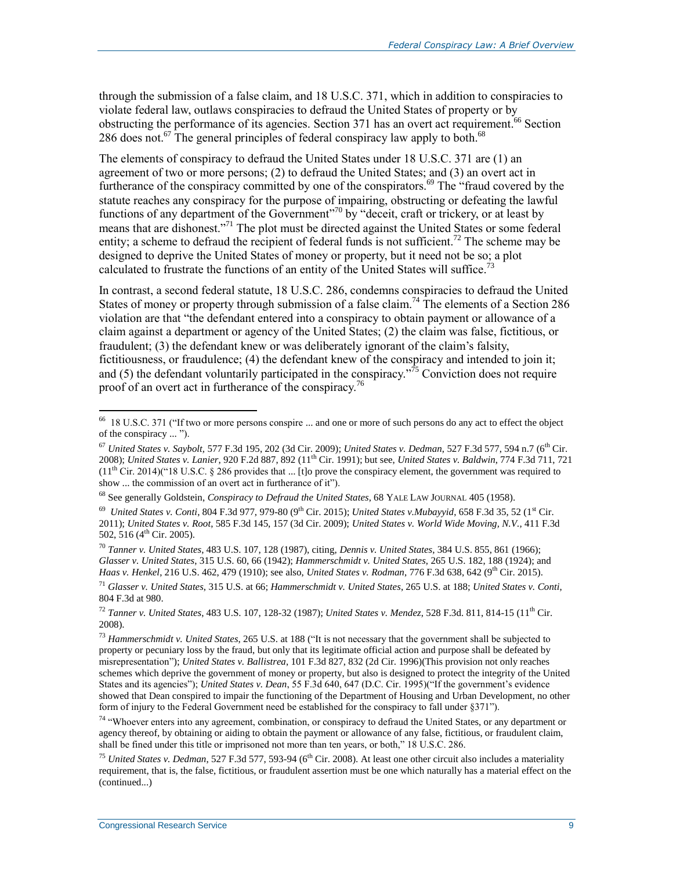through the submission of a false claim, and 18 U.S.C. 371, which in addition to conspiracies to violate federal law, outlaws conspiracies to defraud the United States of property or by obstructing the performance of its agencies. Section 371 has an overt act requirement.<sup>66</sup> Section 286 does not.<sup>67</sup> The general principles of federal conspiracy law apply to both.<sup>68</sup>

The elements of conspiracy to defraud the United States under 18 U.S.C. 371 are (1) an agreement of two or more persons; (2) to defraud the United States; and (3) an overt act in furtherance of the conspiracy committed by one of the conspirators.<sup>69</sup> The "fraud covered by the statute reaches any conspiracy for the purpose of impairing, obstructing or defeating the lawful functions of any department of the Government"<sup>70</sup> by "deceit, craft or trickery, or at least by means that are dishonest."<sup>71</sup> The plot must be directed against the United States or some federal entity; a scheme to defraud the recipient of federal funds is not sufficient.<sup>72</sup> The scheme may be designed to deprive the United States of money or property, but it need not be so; a plot calculated to frustrate the functions of an entity of the United States will suffice.<sup>7</sup>

In contrast, a second federal statute, 18 U.S.C. 286, condemns conspiracies to defraud the United States of money or property through submission of a false claim.<sup>74</sup> The elements of a Section 286 violation are that "the defendant entered into a conspiracy to obtain payment or allowance of a claim against a department or agency of the United States; (2) the claim was false, fictitious, or fraudulent; (3) the defendant knew or was deliberately ignorant of the claim's falsity, fictitiousness, or fraudulence; (4) the defendant knew of the conspiracy and intended to join it; and (5) the defendant voluntarily participated in the conspiracy.<sup> $\frac{75}{5}$ </sup> Conviction does not require proof of an overt act in furtherance of the conspiracy.<sup>76</sup>

<sup>&</sup>lt;sup>66</sup> 18 U.S.C. 371 ("If two or more persons conspire ... and one or more of such persons do any act to effect the object of the conspiracy ... ").

<sup>67</sup> *United States v. Saybolt,* 577 F.3d 195, 202 (3d Cir. 2009); *United States v. Dedman*, 527 F.3d 577, 594 n.7 (6th Cir. 2008); *United States v. Lanier*, 920 F.2d 887, 892 (11th Cir. 1991); but see, *United States v. Baldwin*, 774 F.3d 711, 721  $(11<sup>th</sup>$  Cir. 2014)("18 U.S.C. § 286 provides that ... [t]o prove the conspiracy element, the government was required to show ... the commission of an overt act in furtherance of it").

<sup>68</sup> See generally Goldstein, *Conspiracy to Defraud the United States*, 68 YALE LAW JOURNAL 405 (1958).

<sup>&</sup>lt;sup>69</sup> *United States v. Conti*, 804 F.3d 977, 979-80 (9<sup>th</sup> Cir. 2015); *United States v.Mubayyid*, 658 F.3d 35, 52 (1<sup>st</sup> Cir. 2011); *United States v. Root*, 585 F.3d 145, 157 (3d Cir. 2009); *United States v. World Wide Moving, N.V.,* 411 F.3d 502, 516 (4<sup>th</sup> Cir. 2005).

<sup>70</sup> *Tanner v. United States*, 483 U.S. 107, 128 (1987), citing, *Dennis v. United States*, 384 U.S. 855, 861 (1966); *Glasser v. United States*, 315 U.S. 60, 66 (1942); *Hammerschmidt v. United States*, 265 U.S. 182, 188 (1924); and *Haas v. Henkel*, 216 U.S. 462, 479 (1910); see also, *United States v. Rodman*, 776 F.3d 638, 642 (9<sup>th</sup> Cir. 2015).

<sup>71</sup> *Glasser v. United States*, 315 U.S. at 66; *Hammerschmidt v. United States*, 265 U.S. at 188; *United States v. Conti*, 804 F.3d at 980.

<sup>72</sup> *Tanner v. United States*, 483 U.S. 107, 128-32 (1987); *United States v. Mendez*, 528 F.3d. 811, 814-15 (11th Cir. 2008).

<sup>73</sup> *Hammerschmidt v. United States*, 265 U.S. at 188 ("It is not necessary that the government shall be subjected to property or pecuniary loss by the fraud, but only that its legitimate official action and purpose shall be defeated by misrepresentation"); *United States v. Ballistrea*, 101 F.3d 827, 832 (2d Cir. 1996)(This provision not only reaches schemes which deprive the government of money or property, but also is designed to protect the integrity of the United States and its agencies"); *United States v. Dean*, 55 F.3d 640, 647 (D.C. Cir. 1995)("If the government's evidence showed that Dean conspired to impair the functioning of the Department of Housing and Urban Development, no other form of injury to the Federal Government need be established for the conspiracy to fall under §371").

<sup>&</sup>lt;sup>74</sup> "Whoever enters into any agreement, combination, or conspiracy to defraud the United States, or any department or agency thereof, by obtaining or aiding to obtain the payment or allowance of any false, fictitious, or fraudulent claim, shall be fined under this title or imprisoned not more than ten years, or both," 18 U.S.C. 286.

<sup>&</sup>lt;sup>75</sup> United States v. Dedman, 527 F.3d 577, 593-94 (6<sup>th</sup> Cir. 2008). At least one other circuit also includes a materiality requirement, that is, the false, fictitious, or fraudulent assertion must be one which naturally has a material effect on the (continued...)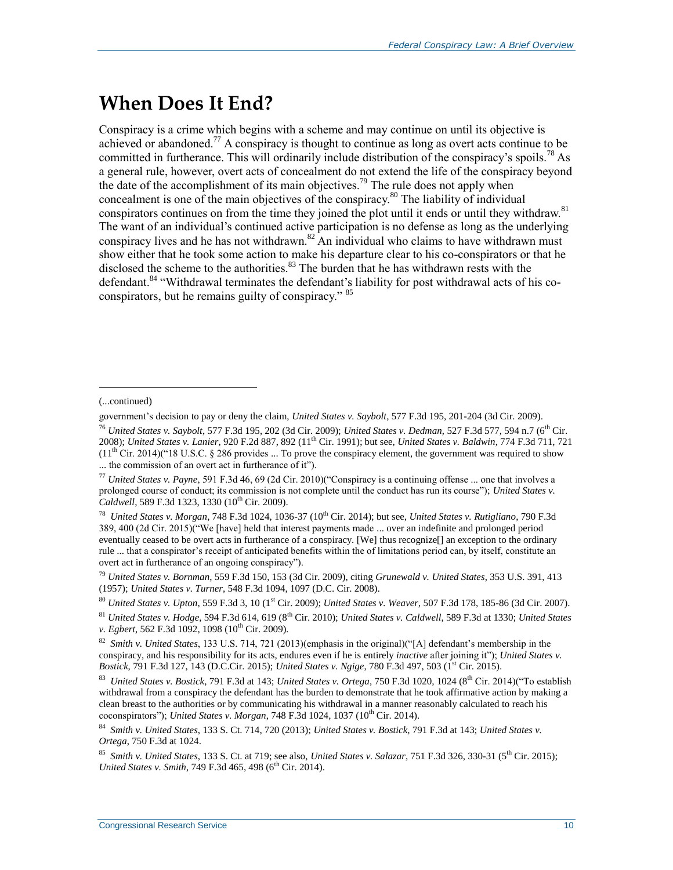### **When Does It End?**

Conspiracy is a crime which begins with a scheme and may continue on until its objective is achieved or abandoned.<sup>77</sup> A conspiracy is thought to continue as long as overt acts continue to be committed in furtherance. This will ordinarily include distribution of the conspiracy's spoils.<sup>78</sup> As a general rule, however, overt acts of concealment do not extend the life of the conspiracy beyond the date of the accomplishment of its main objectives.<sup>79</sup> The rule does not apply when concealment is one of the main objectives of the conspiracy.<sup>80</sup> The liability of individual conspirators continues on from the time they joined the plot until it ends or until they withdraw.<sup>81</sup> The want of an individual's continued active participation is no defense as long as the underlying conspiracy lives and he has not withdrawn. $82$  An individual who claims to have withdrawn must show either that he took some action to make his departure clear to his co-conspirators or that he disclosed the scheme to the authorities.<sup>83</sup> The burden that he has withdrawn rests with the defendant.<sup>84</sup> "Withdrawal terminates the defendant's liability for post withdrawal acts of his coconspirators, but he remains guilty of conspiracy." <sup>85</sup>

<sup>(...</sup>continued)

government's decision to pay or deny the claim, *United States v. Saybolt*, 577 F.3d 195, 201-204 (3d Cir. 2009).

<sup>&</sup>lt;sup>76</sup> *United States v. Saybolt, 577 F.3d 195, 202 (3d Cir. 2009); <i>United States v. Dedman, 527 F.3d 577, 594 n.7* (6<sup>th</sup> Cir. 2008); *United States v. Lanier*, 920 F.2d 887, 892 (11th Cir. 1991); but see, *United States v. Baldwin*, 774 F.3d 711, 721  $(11<sup>th</sup> Cir. 2014)("18 U.S.C. § 286 provides ... To prove the conspiracy element, the government was required to show$ ... the commission of an overt act in furtherance of it").

<sup>77</sup> *United States v. Payne*, 591 F.3d 46, 69 (2d Cir. 2010)("Conspiracy is a continuing offense ... one that involves a prolonged course of conduct; its commission is not complete until the conduct has run its course"); *United States v.*  Caldwell, 589 F.3d 1323, 1330 (10<sup>th</sup> Cir. 2009).

<sup>78</sup> *United States v. Morgan*, 748 F.3d 1024, 1036-37 (10th Cir. 2014); but see, *United States v. Rutigliano*, 790 F.3d 389, 400 (2d Cir. 2015)("We [have] held that interest payments made ... over an indefinite and prolonged period eventually ceased to be overt acts in furtherance of a conspiracy. [We] thus recognize[] an exception to the ordinary rule ... that a conspirator's receipt of anticipated benefits within the of limitations period can, by itself, constitute an overt act in furtherance of an ongoing conspiracy").

<sup>79</sup> *United States v. Bornman*, 559 F.3d 150, 153 (3d Cir. 2009), citing *Grunewald v. United States*, 353 U.S. 391, 413 (1957); *United States v. Turner*, 548 F.3d 1094, 1097 (D.C. Cir. 2008)*.*

<sup>80</sup> *United States v. Upton*, 559 F.3d 3, 10 (1st Cir. 2009); *United States v. Weaver*, 507 F.3d 178, 185-86 (3d Cir. 2007).

<sup>81</sup> *United States v. Hodge*, 594 F.3d 614, 619 (8th Cir. 2010); *United States v. Caldwell*, 589 F.3d at 1330; *United States v. Egbert*, 562 F.3d 1092, 1098 (10<sup>th</sup> Cir. 2009).

<sup>82</sup> *Smith v. United States*, 133 U.S. 714, 721 (2013)(emphasis in the original)("[A] defendant's membership in the conspiracy, and his responsibility for its acts, endures even if he is entirely *inactive* after joining it"); *United States v. Bostick*, 791 F.3d 127, 143 (D.C.Cir. 2015); *United States v. Ngige*, 780 F.3d 497, 503 (1<sup>st</sup> Cir. 2015).

<sup>83</sup> *United States v. Bostick*, 791 F.3d at 143; *United States v. Ortega*, 750 F.3d 1020, 1024 (8th Cir. 2014)("To establish withdrawal from a conspiracy the defendant has the burden to demonstrate that he took affirmative action by making a clean breast to the authorities or by communicating his withdrawal in a manner reasonably calculated to reach his coconspirators"); *United States v. Morgan*, 748 F.3d 1024, 1037 ( $10^{th}$  Cir. 2014).

<sup>84</sup> *Smith v. United States*, 133 S. Ct. 714, 720 (2013); *United States v. Bostick*, 791 F.3d at 143; *United States v. Ortega*, 750 F.3d at 1024.

<sup>85</sup> *Smith v. United States*, 133 S. Ct. at 719; see also, *United States v. Salazar*, 751 F.3d 326, 330-31 (5th Cir. 2015); *United States v. Smith, 749 F.3d 465, 498 (6<sup>th</sup> Cir. 2014).*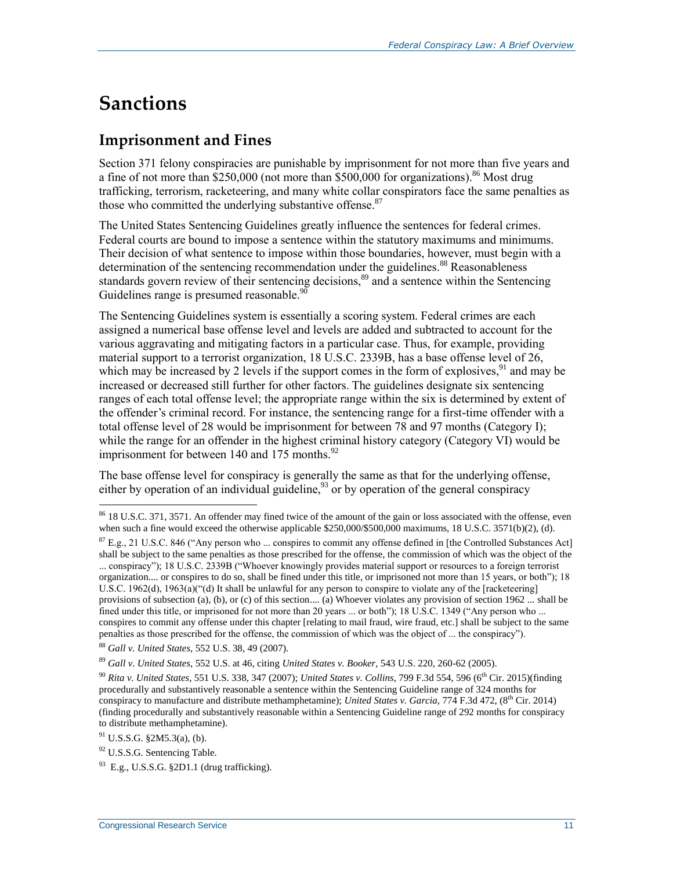## **Sanctions**

### **Imprisonment and Fines**

Section 371 felony conspiracies are punishable by imprisonment for not more than five years and a fine of not more than  $$250,000$  (not more than  $$500,000$  for organizations).<sup>86</sup> Most drug trafficking, terrorism, racketeering, and many white collar conspirators face the same penalties as those who committed the underlying substantive offense.<sup>87</sup>

The United States Sentencing Guidelines greatly influence the sentences for federal crimes. Federal courts are bound to impose a sentence within the statutory maximums and minimums. Their decision of what sentence to impose within those boundaries, however, must begin with a determination of the sentencing recommendation under the guidelines.<sup>88</sup> Reasonableness standards govern review of their sentencing decisions,<sup>89</sup> and a sentence within the Sentencing Guidelines range is presumed reasonable.<sup>90</sup>

The Sentencing Guidelines system is essentially a scoring system. Federal crimes are each assigned a numerical base offense level and levels are added and subtracted to account for the various aggravating and mitigating factors in a particular case. Thus, for example, providing material support to a terrorist organization, 18 U.S.C. 2339B, has a base offense level of 26, which may be increased by 2 levels if the support comes in the form of explosives,  $91$  and may be increased or decreased still further for other factors. The guidelines designate six sentencing ranges of each total offense level; the appropriate range within the six is determined by extent of the offender's criminal record. For instance, the sentencing range for a first-time offender with a total offense level of 28 would be imprisonment for between 78 and 97 months (Category I); while the range for an offender in the highest criminal history category (Category VI) would be imprisonment for between 140 and 175 months. $92$ 

The base offense level for conspiracy is generally the same as that for the underlying offense, either by operation of an individual guideline,  $93$  or by operation of the general conspiracy

<sup>88</sup> *Gall v. United States*, 552 U.S. 38, 49 (2007).

<sup>89</sup> *Gall v. United States*, 552 U.S. at 46, citing *United States v. Booker*, 543 U.S. 220, 260-62 (2005).

 $86$  18 U.S.C. 371, 3571. An offender may fined twice of the amount of the gain or loss associated with the offense, even when such a fine would exceed the otherwise applicable \$250,000/\$500,000 maximums, 18 U.S.C. 3571(b)(2), (d).

 $87$  E.g., 21 U.S.C. 846 ("Any person who ... conspires to commit any offense defined in [the Controlled Substances Act] shall be subject to the same penalties as those prescribed for the offense, the commission of which was the object of the ... conspiracy"); 18 U.S.C. 2339B ("Whoever knowingly provides material support or resources to a foreign terrorist organization.... or conspires to do so, shall be fined under this title, or imprisoned not more than 15 years, or both"); 18 U.S.C. 1962(d), 1963(a)("(d) It shall be unlawful for any person to conspire to violate any of the [racketeering] provisions of subsection (a), (b), or (c) of this section.... (a) Whoever violates any provision of section 1962 ... shall be fined under this title, or imprisoned for not more than 20 years ... or both"); 18 U.S.C. 1349 ("Any person who ... conspires to commit any offense under this chapter [relating to mail fraud, wire fraud, etc.] shall be subject to the same penalties as those prescribed for the offense, the commission of which was the object of ... the conspiracy").

<sup>90</sup> *Rita v. United States*, 551 U.S. 338, 347 (2007); *United States v. Collins*, 799 F.3d 554, 596 (6th Cir. 2015)(finding procedurally and substantively reasonable a sentence within the Sentencing Guideline range of 324 months for conspiracy to manufacture and distribute methamphetamine); *United States v. Garcia*, 774 F.3d 472, (8<sup>th</sup> Cir. 2014) (finding procedurally and substantively reasonable within a Sentencing Guideline range of 292 months for conspiracy to distribute methamphetamine).

 $91$  U.S.S.G. §2M5.3(a), (b).

<sup>&</sup>lt;sup>92</sup> U.S.S.G. Sentencing Table.

 $93$  E.g., U.S.S.G. §2D1.1 (drug trafficking).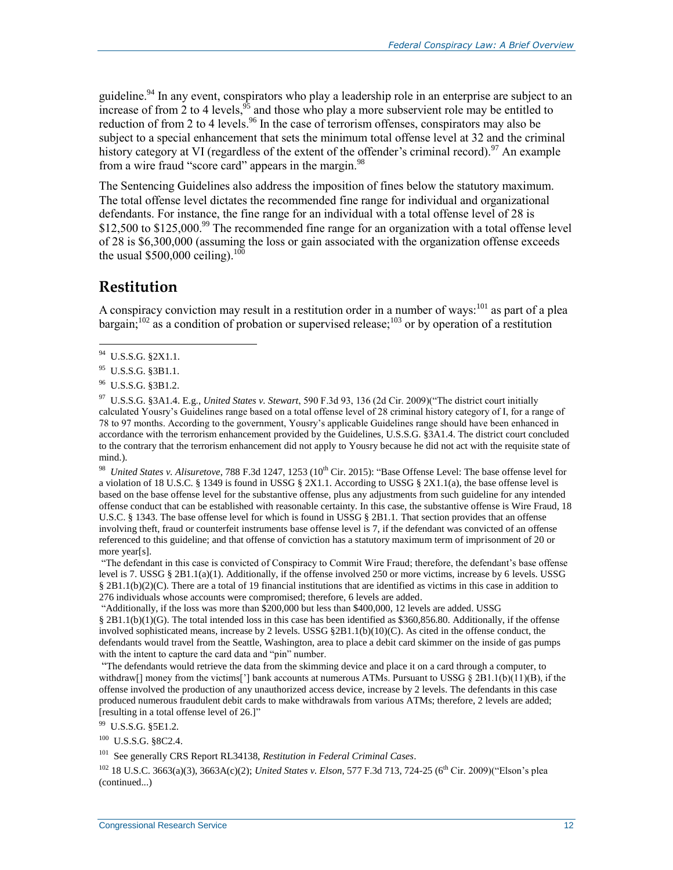guideline.<sup>94</sup> In any event, conspirators who play a leadership role in an enterprise are subject to an increase of from 2 to 4 levels,  $95$  and those who play a more subservient role may be entitled to reduction of from 2 to 4 levels.<sup>96</sup> In the case of terrorism offenses, conspirators may also be subject to a special enhancement that sets the minimum total offense level at 32 and the criminal history category at VI (regardless of the extent of the offender's criminal record).<sup>97</sup> An example from a wire fraud "score card" appears in the margin.<sup>98</sup>

The Sentencing Guidelines also address the imposition of fines below the statutory maximum. The total offense level dictates the recommended fine range for individual and organizational defendants. For instance, the fine range for an individual with a total offense level of 28 is \$12,500 to \$125,000.<sup>99</sup> The recommended fine range for an organization with a total offense level of 28 is \$6,300,000 (assuming the loss or gain associated with the organization offense exceeds the usual \$500,000 ceiling).<sup>100</sup>

#### **Restitution**

A conspiracy conviction may result in a restitution order in a number of ways:  $^{101}$  as part of a plea bargain;<sup>102</sup> as a condition of probation or supervised release;<sup>103</sup> or by operation of a restitution

<sup>98</sup> United States v. Alisuretove, 788 F.3d 1247, 1253 (10<sup>th</sup> Cir. 2015): "Base Offense Level: The base offense level for a violation of 18 U.S.C. § 1349 is found in USSG § 2X1.1. According to USSG § 2X1.1(a), the base offense level is based on the base offense level for the substantive offense, plus any adjustments from such guideline for any intended offense conduct that can be established with reasonable certainty. In this case, the substantive offense is Wire Fraud, 18 U.S.C. § 1343. The base offense level for which is found in USSG § 2B1.1. That section provides that an offense involving theft, fraud or counterfeit instruments base offense level is 7, if the defendant was convicted of an offense referenced to this guideline; and that offense of conviction has a statutory maximum term of imprisonment of 20 or more year[s].

"The defendant in this case is convicted of Conspiracy to Commit Wire Fraud; therefore, the defendant's base offense level is 7. USSG § 2B1.1(a)(1). Additionally, if the offense involved 250 or more victims, increase by 6 levels. USSG  $§$  2B1.1(b)(2)(C). There are a total of 19 financial institutions that are identified as victims in this case in addition to 276 individuals whose accounts were compromised; therefore, 6 levels are added.

"Additionally, if the loss was more than \$200,000 but less than \$400,000, 12 levels are added. USSG § 2B1.1(b)(1)(G). The total intended loss in this case has been identified as \$360,856.80. Additionally, if the offense involved sophisticated means, increase by 2 levels. USSG §2B1.1(b)(10)(C). As cited in the offense conduct, the defendants would travel from the Seattle, Washington, area to place a debit card skimmer on the inside of gas pumps with the intent to capture the card data and "pin" number.

"The defendants would retrieve the data from the skimming device and place it on a card through a computer, to withdraw[] money from the victims['] bank accounts at numerous ATMs. Pursuant to USSG  $\S 2B1.1(b)(11)(B)$ , if the offense involved the production of any unauthorized access device, increase by 2 levels. The defendants in this case produced numerous fraudulent debit cards to make withdrawals from various ATMs; therefore, 2 levels are added; [resulting in a total offense level of 26.]"

<sup>99</sup> U.S.S.G. §5E1.2.

<sup>100</sup> U.S.S.G. §8C2.4.

101 See generally CRS Report RL34138, *Restitution in Federal Criminal Cases*.

<sup>102</sup> 18 U.S.C. 3663(a)(3), 3663A(c)(2); *United States v. Elson*, 577 F.3d 713, 724-25 (6th Cir. 2009)("Elson's plea (continued...)

<sup>&</sup>lt;sup>94</sup> U.S.S.G. §2X1.1.

<sup>&</sup>lt;sup>95</sup> U.S.S.G. §3B1.1.

<sup>&</sup>lt;sup>96</sup> U.S.S.G. §3B1.2.

<sup>97</sup> U.S.S.G. §3A1.4. E.g., *United States v. Stewart*, 590 F.3d 93, 136 (2d Cir. 2009)("The district court initially calculated Yousry's Guidelines range based on a total offense level of 28 criminal history category of I, for a range of 78 to 97 months. According to the government, Yousry's applicable Guidelines range should have been enhanced in accordance with the terrorism enhancement provided by the Guidelines, U.S.S.G. §3A1.4. The district court concluded to the contrary that the terrorism enhancement did not apply to Yousry because he did not act with the requisite state of mind.).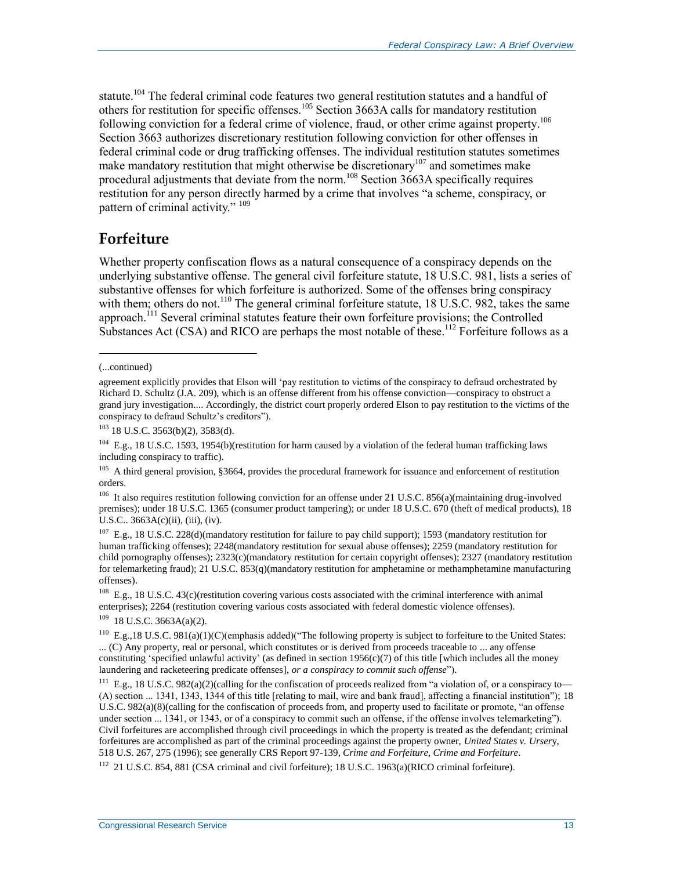statute.<sup>104</sup> The federal criminal code features two general restitution statutes and a handful of others for restitution for specific offenses.<sup>105</sup> Section 3663A calls for mandatory restitution following conviction for a federal crime of violence, fraud, or other crime against property.<sup>106</sup> Section 3663 authorizes discretionary restitution following conviction for other offenses in federal criminal code or drug trafficking offenses. The individual restitution statutes sometimes make mandatory restitution that might otherwise be discretionary<sup>107</sup> and sometimes make procedural adjustments that deviate from the norm.<sup>108</sup> Section 3663A specifically requires restitution for any person directly harmed by a crime that involves "a scheme, conspiracy, or pattern of criminal activity." 109

### **Forfeiture**

Whether property confiscation flows as a natural consequence of a conspiracy depends on the underlying substantive offense. The general civil forfeiture statute, 18 U.S.C. 981, lists a series of substantive offenses for which forfeiture is authorized. Some of the offenses bring conspiracy with them; others do not.<sup>110</sup> The general criminal forfeiture statute,  $18 \text{ U.S.C. } 982$ , takes the same approach.<sup>111</sup> Several criminal statutes feature their own forfeiture provisions; the Controlled Substances Act (CSA) and RICO are perhaps the most notable of these.<sup>112</sup> Forfeiture follows as a

l

<sup>108</sup> E.g., 18 U.S.C. 43(c)(restitution covering various costs associated with the criminal interference with animal enterprises); 2264 (restitution covering various costs associated with federal domestic violence offenses).

 $109$  18 U.S.C. 3663A(a)(2).

<sup>110</sup> E.g., 18 U.S.C. 981(a)(1)(C)(emphasis added)("The following property is subject to forfeiture to the United States: ... (C) Any property, real or personal, which constitutes or is derived from proceeds traceable to ... any offense constituting 'specified unlawful activity' (as defined in section  $1956(c)(7)$  of this title [which includes all the money laundering and racketeering predicate offenses], *or a conspiracy to commit such offense*").

<sup>111</sup> E.g., 18 U.S.C. 982(a)(2)(calling for the confiscation of proceeds realized from "a violation of, or a conspiracy to— (A) section ... 1341, 1343, 1344 of this title [relating to mail, wire and bank fraud], affecting a financial institution"); 18 U.S.C. 982(a)(8)(calling for the confiscation of proceeds from, and property used to facilitate or promote, "an offense under section ... 1341, or 1343, or of a conspiracy to commit such an offense, if the offense involves telemarketing"). Civil forfeitures are accomplished through civil proceedings in which the property is treated as the defendant; criminal forfeitures are accomplished as part of the criminal proceedings against the property owner, *United States v. Urser*y, 518 U.S. 267, 275 (1996); see generally CRS Report 97-139, *Crime and Forfeiture*, *Crime and Forfeiture*. 112 21 U.S.C. 854, 881 (CSA criminal and civil forfeiture); 18 U.S.C. 1963(a)(RICO criminal forfeiture).

<sup>(...</sup>continued)

agreement explicitly provides that Elson will 'pay restitution to victims of the conspiracy to defraud orchestrated by Richard D. Schultz (J.A. 209), which is an offense different from his offense conviction—conspiracy to obstruct a grand jury investigation.... Accordingly, the district court properly ordered Elson to pay restitution to the victims of the conspiracy to defraud Schultz's creditors").

 $103$  18 U.S.C. 3563(b)(2), 3583(d).

<sup>104</sup> E.g., 18 U.S.C. 1593, 1954(b)(restitution for harm caused by a violation of the federal human trafficking laws including conspiracy to traffic).

<sup>&</sup>lt;sup>105</sup> A third general provision, §3664, provides the procedural framework for issuance and enforcement of restitution orders.

<sup>&</sup>lt;sup>106</sup> It also requires restitution following conviction for an offense under 21 U.S.C. 856(a)(maintaining drug-involved premises); under 18 U.S.C. 1365 (consumer product tampering); or under 18 U.S.C. 670 (theft of medical products), 18 U.S.C.. 3663A(c)(ii), (iii), (iv).

<sup>&</sup>lt;sup>107</sup> E.g., 18 U.S.C. 228(d)(mandatory restitution for failure to pay child support); 1593 (mandatory restitution for human trafficking offenses); 2248(mandatory restitution for sexual abuse offenses); 2259 (mandatory restitution for child pornography offenses); 2323(c)(mandatory restitution for certain copyright offenses); 2327 (mandatory restitution for telemarketing fraud); 21 U.S.C. 853(q)(mandatory restitution for amphetamine or methamphetamine manufacturing offenses).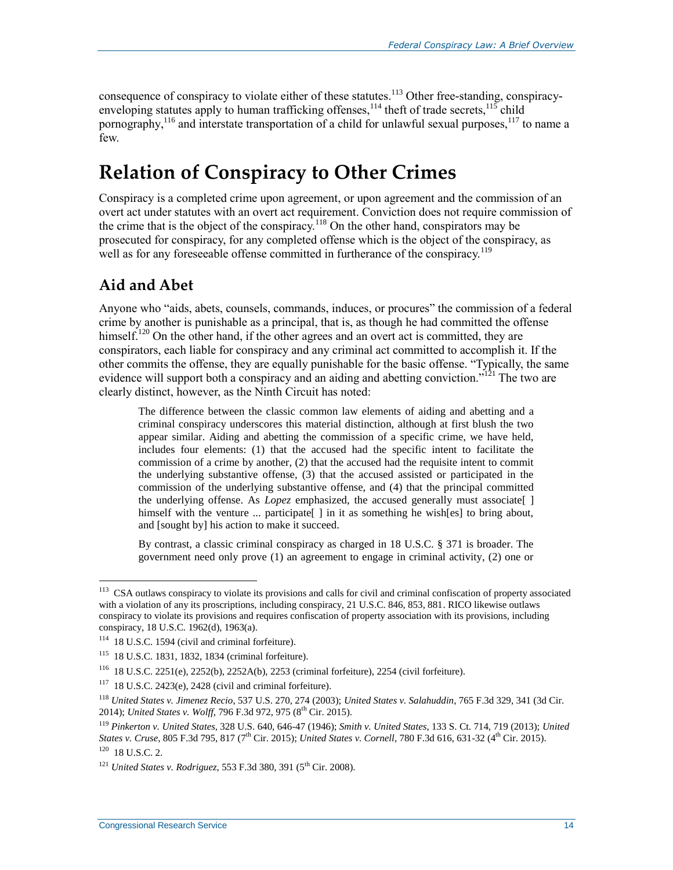consequence of conspiracy to violate either of these statutes.<sup>113</sup> Other free-standing, conspiracyenveloping statutes apply to human trafficking offenses,  $114$  theft of trade secrets,  $115$  child pornography,<sup>116</sup> and interstate transportation of a child for unlawful sexual purposes,<sup>117</sup> to name a few.

## **Relation of Conspiracy to Other Crimes**

Conspiracy is a completed crime upon agreement, or upon agreement and the commission of an overt act under statutes with an overt act requirement. Conviction does not require commission of the crime that is the object of the conspiracy.<sup>118</sup> On the other hand, conspirators may be prosecuted for conspiracy, for any completed offense which is the object of the conspiracy, as well as for any foreseeable offense committed in furtherance of the conspiracy.<sup>119</sup>

### **Aid and Abet**

Anyone who "aids, abets, counsels, commands, induces, or procures" the commission of a federal crime by another is punishable as a principal, that is, as though he had committed the offense himself.<sup>120</sup> On the other hand, if the other agrees and an overt act is committed, they are conspirators, each liable for conspiracy and any criminal act committed to accomplish it. If the other commits the offense, they are equally punishable for the basic offense. "Typically, the same evidence will support both a conspiracy and an aiding and abetting conviction."<sup>121</sup> The two are clearly distinct, however, as the Ninth Circuit has noted:

The difference between the classic common law elements of aiding and abetting and a criminal conspiracy underscores this material distinction, although at first blush the two appear similar. Aiding and abetting the commission of a specific crime, we have held, includes four elements: (1) that the accused had the specific intent to facilitate the commission of a crime by another, (2) that the accused had the requisite intent to commit the underlying substantive offense, (3) that the accused assisted or participated in the commission of the underlying substantive offense, and (4) that the principal committed the underlying offense. As *Lopez* emphasized, the accused generally must associate[ ] himself with the venture  $\ldots$  participate [ ] in it as something he wish [es] to bring about, and [sought by] his action to make it succeed.

By contrast, a classic criminal conspiracy as charged in 18 U.S.C. § 371 is broader. The government need only prove (1) an agreement to engage in criminal activity, (2) one or

 113 CSA outlaws conspiracy to violate its provisions and calls for civil and criminal confiscation of property associated with a violation of any its proscriptions, including conspiracy, 21 U.S.C. 846, 853, 881. RICO likewise outlaws conspiracy to violate its provisions and requires confiscation of property association with its provisions, including conspiracy, 18 U.S.C. 1962(d), 1963(a).

<sup>114</sup> 18 U.S.C. 1594 (civil and criminal forfeiture).

<sup>115</sup> 18 U.S.C. 1831, 1832, 1834 (criminal forfeiture).

<sup>116</sup> 18 U.S.C. 2251(e), 2252(b), 2252A(b), 2253 (criminal forfeiture), 2254 (civil forfeiture).

 $117$  18 U.S.C. 2423(e), 2428 (civil and criminal forfeiture).

<sup>118</sup> *United States v. Jimenez Recio*, 537 U.S. 270, 274 (2003); *United States v. Salahuddin*, 765 F.3d 329, 341 (3d Cir. 2014); *United States v. Wolff*, 796 F.3d 972, 975 (8<sup>th</sup> Cir. 2015).

<sup>119</sup> *Pinkerton v. United States*, 328 U.S. 640, 646-47 (1946); *Smith v. United States*, 133 S. Ct. 714, 719 (2013); *United States v. Cruse*, 805 F.3d 795, 817 (7<sup>th</sup> Cir. 2015); *United States v. Cornell*, 780 F.3d 616, 631-32 (4<sup>th</sup> Cir. 2015). 120 18 U.S.C. 2.

<sup>&</sup>lt;sup>121</sup> *United States v. Rodriguez*, 553 F.3d 380, 391 (5<sup>th</sup> Cir. 2008).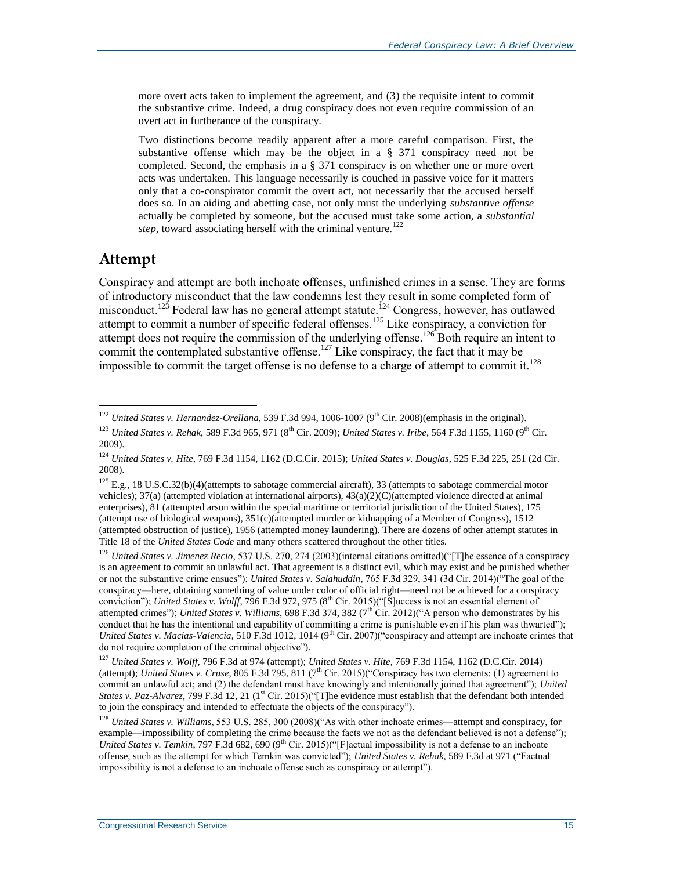more overt acts taken to implement the agreement, and (3) the requisite intent to commit the substantive crime. Indeed, a drug conspiracy does not even require commission of an overt act in furtherance of the conspiracy.

Two distinctions become readily apparent after a more careful comparison. First, the substantive offense which may be the object in a § 371 conspiracy need not be completed. Second, the emphasis in a § 371 conspiracy is on whether one or more overt acts was undertaken. This language necessarily is couched in passive voice for it matters only that a co-conspirator commit the overt act, not necessarily that the accused herself does so. In an aiding and abetting case, not only must the underlying *substantive offense* actually be completed by someone, but the accused must take some action, a *substantial step,* toward associating herself with the criminal venture.<sup>122</sup>

#### **Attempt**

 $\overline{a}$ 

Conspiracy and attempt are both inchoate offenses, unfinished crimes in a sense. They are forms of introductory misconduct that the law condemns lest they result in some completed form of misconduct.<sup>123</sup> Federal law has no general attempt statute.<sup>124</sup> Congress, however, has outlawed attempt to commit a number of specific federal offenses.<sup>125</sup> Like conspiracy, a conviction for attempt does not require the commission of the underlying offense.<sup>126</sup> Both require an intent to commit the contemplated substantive offense.<sup>127</sup> Like conspiracy, the fact that it may be impossible to commit the target offense is no defense to a charge of attempt to commit it.<sup>128</sup>

<sup>&</sup>lt;sup>122</sup> *United States v. Hernandez-Orellana*, 539 F.3d 994, 1006-1007 (9<sup>th</sup> Cir. 2008)(emphasis in the original).

<sup>&</sup>lt;sup>123</sup> *United States v. Rehak,* 589 F.3d 965, 971 (8<sup>th</sup> Cir. 2009); *United States v. Iribe*, 564 F.3d 1155, 1160 (9<sup>th</sup> Cir. 2009).

<sup>124</sup> *United States v. Hite*, 769 F.3d 1154, 1162 (D.C.Cir. 2015); *United States v. Douglas*, 525 F.3d 225, 251 (2d Cir. 2008).

<sup>&</sup>lt;sup>125</sup> E.g., 18 U.S.C.32(b)(4)(attempts to sabotage commercial aircraft), 33 (attempts to sabotage commercial motor vehicles); 37(a) (attempted violation at international airports), 43(a)(2)(C)(attempted violence directed at animal enterprises), 81 (attempted arson within the special maritime or territorial jurisdiction of the United States), 175 (attempt use of biological weapons),  $351(c)$ (attempted murder or kidnapping of a Member of Congress), 1512 (attempted obstruction of justice), 1956 (attempted money laundering). There are dozens of other attempt statutes in Title 18 of the *United States Code* and many others scattered throughout the other titles.

<sup>126</sup> *United States v. Jimenez Recio*, 537 U.S. 270, 274 (2003)(internal citations omitted)("[T]he essence of a conspiracy is an agreement to commit an unlawful act. That agreement is a distinct evil, which may exist and be punished whether or not the substantive crime ensues"); *United States v. Salahuddin*, 765 F.3d 329, 341 (3d Cir. 2014)("The goal of the conspiracy—here, obtaining something of value under color of official right—need not be achieved for a conspiracy conviction"); *United States v. Wolff*, 796 F.3d 972, 975 (8<sup>th</sup> Cir. 2015)("[S]uccess is not an essential element of attempted crimes"); *United States v. Williams*, 698 F.3d 374, 382 (7<sup>th</sup> Cir. 2012)("A person who demonstrates by his conduct that he has the intentional and capability of committing a crime is punishable even if his plan was thwarted"); *United States v. Macias-Valencia,* 510 F.3d 1012, 1014 (9<sup>th</sup> Cir. 2007)("conspiracy and attempt are inchoate crimes that do not require completion of the criminal objective").

<sup>127</sup> *United States v. Wolff*, 796 F.3d at 974 (attempt); *United States v. Hite*, 769 F.3d 1154, 1162 (D.C.Cir. 2014) (attempt); *United States v. Cruse*, 805 F.3d 795, 811 (7<sup>th</sup> Cir. 2015)("Conspiracy has two elements: (1) agreement to commit an unlawful act; and (2) the defendant must have knowingly and intentionally joined that agreement"); *United States v. Paz-Alvarez*, 799 F.3d 12, 21 (1<sup>st</sup> Cir. 2015)("[T]he evidence must establish that the defendant both intended to join the conspiracy and intended to effectuate the objects of the conspiracy").

<sup>128</sup> *United States v. Williams*, 553 U.S. 285, 300 (2008)("As with other inchoate crimes—attempt and conspiracy, for example—impossibility of completing the crime because the facts we not as the defendant believed is not a defense"); *United States v. Temkin,* 797 F.3d 682, 690 (9<sup>th</sup> Cir. 2015)("[F]actual impossibility is not a defense to an inchoate offense, such as the attempt for which Temkin was convicted"); *United States v. Rehak*, 589 F.3d at 971 ("Factual impossibility is not a defense to an inchoate offense such as conspiracy or attempt").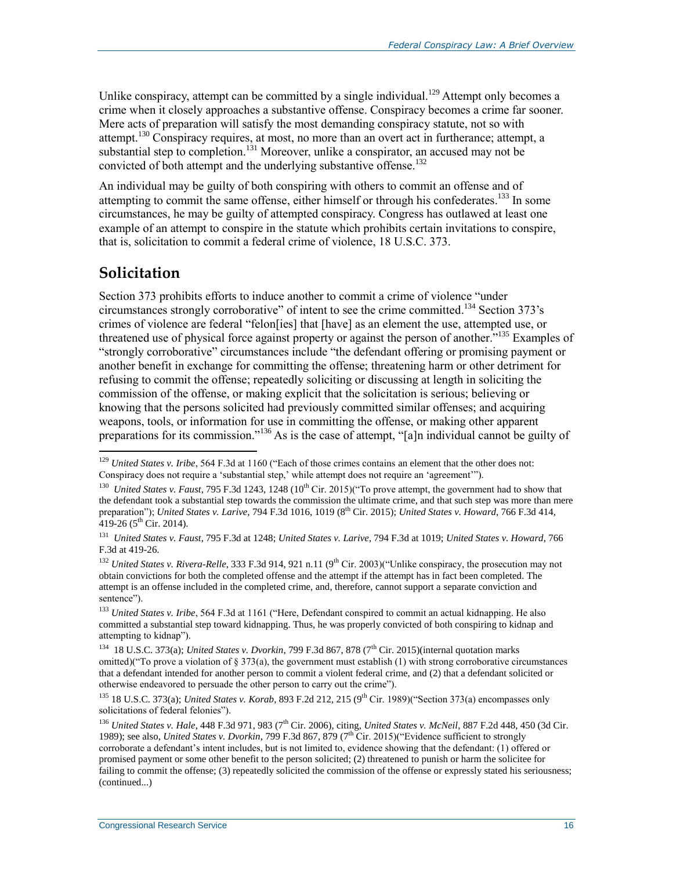Unlike conspiracy, attempt can be committed by a single individual.<sup>129</sup> Attempt only becomes a crime when it closely approaches a substantive offense. Conspiracy becomes a crime far sooner. Mere acts of preparation will satisfy the most demanding conspiracy statute, not so with attempt.<sup>130</sup> Conspiracy requires, at most, no more than an overt act in furtherance; attempt, a substantial step to completion.<sup>131</sup> Moreover, unlike a conspirator, an accused may not be convicted of both attempt and the underlying substantive offense.<sup>132</sup>

An individual may be guilty of both conspiring with others to commit an offense and of attempting to commit the same offense, either himself or through his confederates.<sup>133</sup> In some circumstances, he may be guilty of attempted conspiracy. Congress has outlawed at least one example of an attempt to conspire in the statute which prohibits certain invitations to conspire, that is, solicitation to commit a federal crime of violence, 18 U.S.C. 373.

#### **Solicitation**

 $\overline{a}$ 

Section 373 prohibits efforts to induce another to commit a crime of violence "under circumstances strongly corroborative" of intent to see the crime committed. <sup>134</sup> Section 373's crimes of violence are federal "felon[ies] that [have] as an element the use, attempted use, or threatened use of physical force against property or against the person of another.<sup>"135</sup> Examples of "strongly corroborative" circumstances include "the defendant offering or promising payment or another benefit in exchange for committing the offense; threatening harm or other detriment for refusing to commit the offense; repeatedly soliciting or discussing at length in soliciting the commission of the offense, or making explicit that the solicitation is serious; believing or knowing that the persons solicited had previously committed similar offenses; and acquiring weapons, tools, or information for use in committing the offense, or making other apparent preparations for its commission."<sup>136</sup> As is the case of attempt, "[a]n individual cannot be guilty of

<sup>132</sup> *United States v. Rivera-Relle*, 333 F.3d 914, 921 n.11 (9<sup>th</sup> Cir. 2003)("Unlike conspiracy, the prosecution may not obtain convictions for both the completed offense and the attempt if the attempt has in fact been completed. The attempt is an offense included in the completed crime, and, therefore, cannot support a separate conviction and sentence").

<sup>129</sup> *United States v. Iribe*, 564 F.3d at 1160 ("Each of those crimes contains an element that the other does not: Conspiracy does not require a 'substantial step,' while attempt does not require an 'agreement'").

<sup>&</sup>lt;sup>130</sup> United States v. Faust, 795 F.3d 1243, 1248 (10<sup>th</sup> Cir. 2015)("To prove attempt, the government had to show that the defendant took a substantial step towards the commission the ultimate crime, and that such step was more than mere preparation"); *United States v. Larive*, 794 F.3d 1016, 1019 (8<sup>th</sup> Cir. 2015); *United States v. Howard*, 766 F.3d 414, 419-26 ( $5^{\text{th}}$  Cir. 2014).

<sup>131</sup> *United States v. Faust*, 795 F.3d at 1248; *United States v. Larive*, 794 F.3d at 1019; *United States v. Howard*, 766 F.3d at 419-26.

<sup>133</sup> *United States v. Iribe*, 564 F.3d at 1161 ("Here, Defendant conspired to commit an actual kidnapping. He also committed a substantial step toward kidnapping. Thus, he was properly convicted of both conspiring to kidnap and attempting to kidnap").

<sup>&</sup>lt;sup>134</sup> 18 U.S.C. 373(a); *United States v. Dvorkin*, 799 F.3d 867, 878 (7<sup>th</sup> Cir. 2015)(internal quotation marks omitted)("To prove a violation of § 373(a), the government must establish (1) with strong corroborative circumstances that a defendant intended for another person to commit a violent federal crime, and (2) that a defendant solicited or otherwise endeavored to persuade the other person to carry out the crime").

<sup>135</sup> 18 U.S.C. 373(a); *United States v. Korab*, 893 F.2d 212, 215 (9th Cir. 1989)("Section 373(a) encompasses only solicitations of federal felonies").

<sup>&</sup>lt;sup>136</sup> *United States v. Hale*, 448 F.3d 971, 983 (7<sup>th</sup> Cir. 2006), citing, *United States v. McNeil*, 887 F.2d 448, 450 (3d Cir. 1989); see also, *United States v. Dvorkin*, 799 F.3d 867, 879 (7th Cir. 2015)("Evidence sufficient to strongly corroborate a defendant's intent includes, but is not limited to, evidence showing that the defendant: (1) offered or promised payment or some other benefit to the person solicited; (2) threatened to punish or harm the solicitee for failing to commit the offense; (3) repeatedly solicited the commission of the offense or expressly stated his seriousness; (continued...)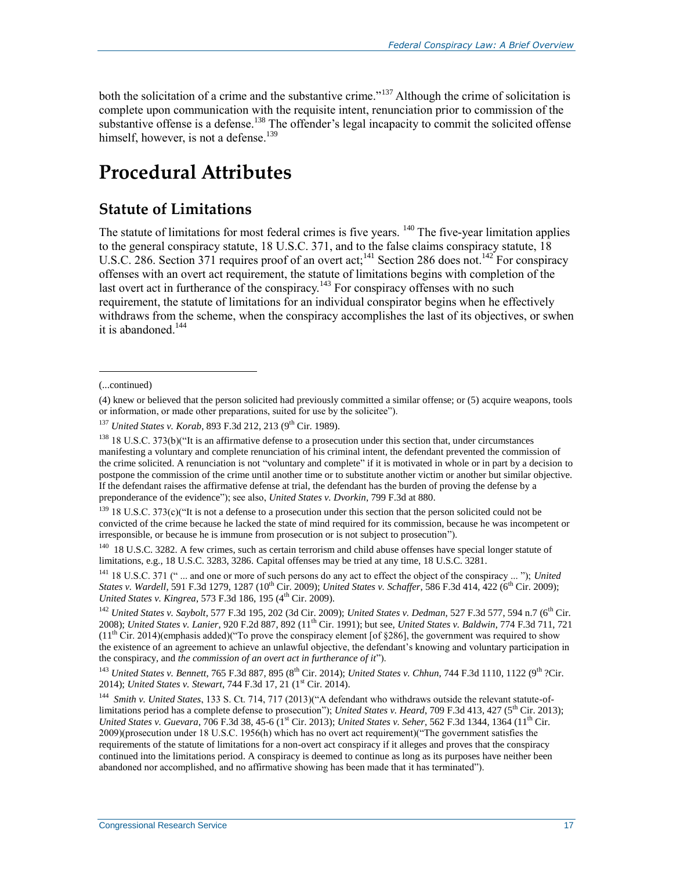both the solicitation of a crime and the substantive crime."<sup>137</sup> Although the crime of solicitation is complete upon communication with the requisite intent, renunciation prior to commission of the substantive offense is a defense.<sup>138</sup> The offender's legal incapacity to commit the solicited offense himself, however, is not a defense.<sup>139</sup>

## **Procedural Attributes**

### **Statute of Limitations**

The statute of limitations for most federal crimes is five years. <sup>140</sup> The five-year limitation applies to the general conspiracy statute, 18 U.S.C. 371, and to the false claims conspiracy statute, 18 U.S.C. 286. Section 371 requires proof of an overt act;<sup>141</sup> Section 286 does not.<sup>142</sup> For conspiracy offenses with an overt act requirement, the statute of limitations begins with completion of the last overt act in furtherance of the conspiracy.<sup>143</sup> For conspiracy offenses with no such requirement, the statute of limitations for an individual conspirator begins when he effectively withdraws from the scheme, when the conspiracy accomplishes the last of its objectives, or swhen it is abandoned.<sup>144</sup>

<sup>(...</sup>continued)

<sup>(4)</sup> knew or believed that the person solicited had previously committed a similar offense; or (5) acquire weapons, tools or information, or made other preparations, suited for use by the solicitee").

<sup>&</sup>lt;sup>137</sup> *United States v. Korab, 893 F.3d 212, 213 (9<sup>th</sup> Cir. 1989).* 

 $138$  18 U.S.C. 373(b)("It is an affirmative defense to a prosecution under this section that, under circumstances manifesting a voluntary and complete renunciation of his criminal intent, the defendant prevented the commission of the crime solicited. A renunciation is not "voluntary and complete" if it is motivated in whole or in part by a decision to postpone the commission of the crime until another time or to substitute another victim or another but similar objective. If the defendant raises the affirmative defense at trial, the defendant has the burden of proving the defense by a preponderance of the evidence"); see also, *United States v. Dvorkin*, 799 F.3d at 880.

 $139$  18 U.S.C. 373(c)("It is not a defense to a prosecution under this section that the person solicited could not be convicted of the crime because he lacked the state of mind required for its commission, because he was incompetent or irresponsible, or because he is immune from prosecution or is not subject to prosecution").

<sup>&</sup>lt;sup>140</sup> 18 U.S.C. 3282. A few crimes, such as certain terrorism and child abuse offenses have special longer statute of limitations, e.g., 18 U.S.C. 3283, 3286. Capital offenses may be tried at any time, 18 U.S.C. 3281.

<sup>141</sup> 18 U.S.C. 371 (" ... and one or more of such persons do any act to effect the object of the conspiracy ... "); *United States v. Wardell, 591 F.3d 1279, 1287* (10<sup>th</sup> Cir. 2009); *United States v. Schaffer*, 586 F.3d 414, 422 (6<sup>th</sup> Cir. 2009); *United States v. Kingrea*, 573 F.3d 186, 195 (4<sup>th</sup> Cir. 2009).

<sup>142</sup> *United States v. Saybolt*, 577 F.3d 195, 202 (3d Cir. 2009); *United States v. Dedman*, 527 F.3d 577, 594 n.7 (6th Cir. 2008); *United States v. Lanier*, 920 F.2d 887, 892 (11th Cir. 1991); but see, *United States v. Baldwin*, 774 F.3d 711, 721  $(11<sup>th</sup> Cir. 2014)$ (emphasis added)("To prove the conspiracy element [of §286], the government was required to show the existence of an agreement to achieve an unlawful objective, the defendant's knowing and voluntary participation in the conspiracy, and *the commission of an overt act in furtherance of it*").

<sup>143</sup> *United States v. Bennett*, 765 F.3d 887, 895 (8th Cir. 2014); *United States v. Chhun*, 744 F.3d 1110, 1122 (9th ?Cir. 2014); *United States v. Stewart*, 744 F.3d 17, 21 (1<sup>st</sup> Cir. 2014).

<sup>144</sup> *Smith v. United States*, 133 S. Ct. 714, 717 (2013)("A defendant who withdraws outside the relevant statute-oflimitations period has a complete defense to prosecution"); *United States v. Heard*, 709 F.3d 413, 427 (5<sup>th</sup> Cir. 2013); *United States v. Guevara, 706 F.3d 38, 45-6* (1<sup>st</sup> Cir. 2013); *United States v. Seher, 562 F.3d 1344, 1364* (11<sup>th</sup> Cir. 2009)(prosecution under 18 U.S.C. 1956(h) which has no overt act requirement)("The government satisfies the requirements of the statute of limitations for a non-overt act conspiracy if it alleges and proves that the conspiracy continued into the limitations period. A conspiracy is deemed to continue as long as its purposes have neither been abandoned nor accomplished, and no affirmative showing has been made that it has terminated").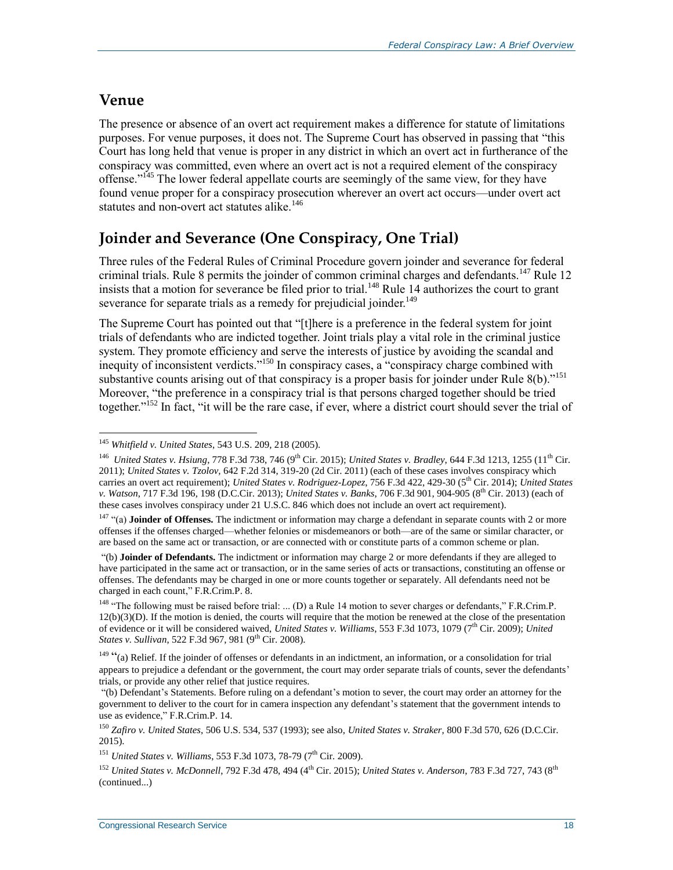### **Venue**

 $\overline{a}$ 

The presence or absence of an overt act requirement makes a difference for statute of limitations purposes. For venue purposes, it does not. The Supreme Court has observed in passing that "this Court has long held that venue is proper in any district in which an overt act in furtherance of the conspiracy was committed, even where an overt act is not a required element of the conspiracy offense."<sup>145</sup> The lower federal appellate courts are seemingly of the same view, for they have found venue proper for a conspiracy prosecution wherever an overt act occurs—under overt act statutes and non-overt act statutes alike.<sup>146</sup>

### **Joinder and Severance (One Conspiracy, One Trial)**

Three rules of the Federal Rules of Criminal Procedure govern joinder and severance for federal criminal trials. Rule 8 permits the joinder of common criminal charges and defendants.<sup>147</sup> Rule 12 insists that a motion for severance be filed prior to trial.<sup>148</sup> Rule 14 authorizes the court to grant severance for separate trials as a remedy for prejudicial joinder.<sup>149</sup>

The Supreme Court has pointed out that "[t]here is a preference in the federal system for joint trials of defendants who are indicted together. Joint trials play a vital role in the criminal justice system. They promote efficiency and serve the interests of justice by avoiding the scandal and inequity of inconsistent verdicts."<sup>150</sup> In conspiracy cases, a "conspiracy charge combined with substantive counts arising out of that conspiracy is a proper basis for joinder under Rule 8(b)."<sup>151</sup> Moreover, "the preference in a conspiracy trial is that persons charged together should be tried together."<sup>152</sup> In fact, "it will be the rare case, if ever, where a district court should sever the trial of

<sup>145</sup> *Whitfield v. United States*, 543 U.S. 209, 218 (2005).

<sup>&</sup>lt;sup>146</sup> *United States v. Hsiung, 778 F.3d 738, 746 (9<sup>th</sup> Cir. 2015); <i>United States v. Bradley, 644 F.3d 1213, 1255 (11<sup>th</sup> Cir.* 2011); *United States v. Tzolov,* 642 F.2d 314, 319-20 (2d Cir. 2011) (each of these cases involves conspiracy which carries an overt act requirement); *United States v. Rodriguez-Lopez*, 756 F.3d 422, 429-30 (5<sup>th</sup> Cir. 2014); *United States v. Watson*, 717 F.3d 196, 198 (D.C.Cir. 2013); *United States v. Banks*, 706 F.3d 901, 904-905 (8th Cir. 2013) (each of these cases involves conspiracy under 21 U.S.C. 846 which does not include an overt act requirement).

<sup>147</sup> "(a) **Joinder of Offenses.** The indictment or information may charge a defendant in separate counts with 2 or more offenses if the offenses charged—whether felonies or misdemeanors or both—are of the same or similar character, or are based on the same act or transaction, or are connected with or constitute parts of a common scheme or plan.

<sup>&</sup>quot;(b) **Joinder of Defendants.** The indictment or information may charge 2 or more defendants if they are alleged to have participated in the same act or transaction, or in the same series of acts or transactions, constituting an offense or offenses. The defendants may be charged in one or more counts together or separately. All defendants need not be charged in each count," F.R.Crim.P. 8.

<sup>&</sup>lt;sup>148</sup> "The following must be raised before trial: ... (D) a Rule 14 motion to sever charges or defendants," F.R.Crim.P.  $12(b)(3)(D)$ . If the motion is denied, the courts will require that the motion be renewed at the close of the presentation of evidence or it will be considered waived, *United States v. Williams*, 553 F.3d 1073, 1079 (7th Cir. 2009); *United States v. Sullivan*, 522 F.3d 967, 981 (9<sup>th</sup> Cir. 2008).

 $149$  "(a) Relief. If the joinder of offenses or defendants in an indictment, an information, or a consolidation for trial appears to prejudice a defendant or the government, the court may order separate trials of counts, sever the defendants' trials, or provide any other relief that justice requires.

<sup>&</sup>quot;(b) Defendant's Statements. Before ruling on a defendant's motion to sever, the court may order an attorney for the government to deliver to the court for in camera inspection any defendant's statement that the government intends to use as evidence," F.R.Crim.P. 14.

<sup>150</sup> *Zafiro v. United States*, 506 U.S. 534, 537 (1993); see also, *United States v. Straker*, 800 F.3d 570, 626 (D.C.Cir. 2015).

<sup>&</sup>lt;sup>151</sup> *United States v. Williams*, 553 F.3d 1073, 78-79 (7<sup>th</sup> Cir. 2009).

<sup>152</sup> *United States v. McDonnell*, 792 F.3d 478, 494 (4th Cir. 2015); *United States v. Anderson*, 783 F.3d 727, 743 (8th (continued...)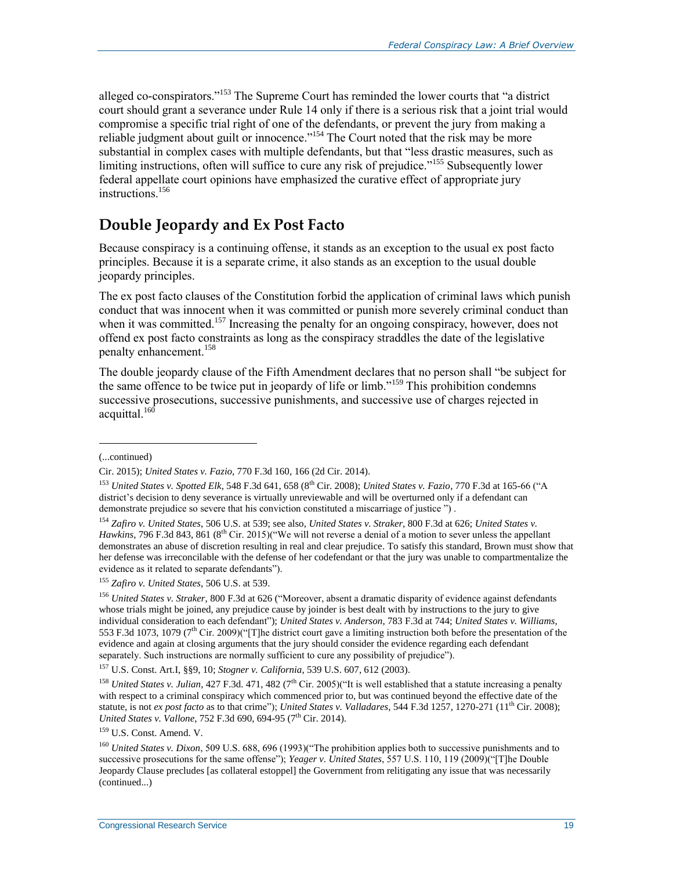alleged co-conspirators."<sup>153</sup> The Supreme Court has reminded the lower courts that "a district court should grant a severance under Rule 14 only if there is a serious risk that a joint trial would compromise a specific trial right of one of the defendants, or prevent the jury from making a reliable judgment about guilt or innocence."<sup>154</sup> The Court noted that the risk may be more substantial in complex cases with multiple defendants, but that "less drastic measures, such as limiting instructions, often will suffice to cure any risk of prejudice."<sup>155</sup> Subsequently lower federal appellate court opinions have emphasized the curative effect of appropriate jury instructions<sup>156</sup>

### **Double Jeopardy and Ex Post Facto**

Because conspiracy is a continuing offense, it stands as an exception to the usual ex post facto principles. Because it is a separate crime, it also stands as an exception to the usual double jeopardy principles.

The ex post facto clauses of the Constitution forbid the application of criminal laws which punish conduct that was innocent when it was committed or punish more severely criminal conduct than when it was committed.<sup>157</sup> Increasing the penalty for an ongoing conspiracy, however, does not offend ex post facto constraints as long as the conspiracy straddles the date of the legislative penalty enhancement.<sup>158</sup>

The double jeopardy clause of the Fifth Amendment declares that no person shall "be subject for the same offence to be twice put in jeopardy of life or limb."<sup>159</sup> This prohibition condemns successive prosecutions, successive punishments, and successive use of charges rejected in acquittal.<sup>160</sup>

l

<sup>157</sup> U.S. Const. Art.I, §§9, 10; *Stogner v. California*, 539 U.S. 607, 612 (2003).

<sup>(...</sup>continued)

Cir. 2015); *United States v. Fazio*, 770 F.3d 160, 166 (2d Cir. 2014).

<sup>153</sup> *United States v. Spotted Elk*, 548 F.3d 641, 658 (8th Cir. 2008); *United States v. Fazio*, 770 F.3d at 165-66 ("A district's decision to deny severance is virtually unreviewable and will be overturned only if a defendant can demonstrate prejudice so severe that his conviction constituted a miscarriage of justice ") .

<sup>154</sup> *Zafiro v. United States*, 506 U.S. at 539; see also, *United States v. Straker*, 800 F.3d at 626; *United States v. Hawkins*, 796 F.3d 843, 861 (8<sup>th</sup> Cir. 2015)("We will not reverse a denial of a motion to sever unless the appellant demonstrates an abuse of discretion resulting in real and clear prejudice. To satisfy this standard, Brown must show that her defense was irreconcilable with the defense of her codefendant or that the jury was unable to compartmentalize the evidence as it related to separate defendants").

<sup>155</sup> *Zafiro v. United States*, 506 U.S. at 539.

<sup>156</sup> *United States v. Straker*, 800 F.3d at 626 ("Moreover, absent a dramatic disparity of evidence against defendants whose trials might be joined, any prejudice cause by joinder is best dealt with by instructions to the jury to give individual consideration to each defendant"); *United States v. Anderson*, 783 F.3d at 744; *United States v. Williams*, 553 F.3d 1073, 1079 (7th Cir. 2009)("[T]he district court gave a limiting instruction both before the presentation of the evidence and again at closing arguments that the jury should consider the evidence regarding each defendant separately. Such instructions are normally sufficient to cure any possibility of prejudice").

<sup>&</sup>lt;sup>158</sup> *United States v. Julian*, 427 F.3d. 471, 482 (7<sup>th</sup> Cir. 2005)("It is well established that a statute increasing a penalty with respect to a criminal conspiracy which commenced prior to, but was continued beyond the effective date of the statute, is not *ex post facto* as to that crime"); *United States v. Valladares*, 544 F.3d 1257, 1270-271 (11<sup>th</sup> Cir. 2008); *United States v. Vallone*, 752 F.3d 690, 694-95 (7<sup>th</sup> Cir. 2014).

<sup>159</sup> U.S. Const. Amend. V.

<sup>&</sup>lt;sup>160</sup> *United States v. Dixon*, 509 U.S. 688, 696 (1993)("The prohibition applies both to successive punishments and to successive prosecutions for the same offense"); *Yeager v. United States*, 557 U.S. 110, 119 (2009)("[T]he Double Jeopardy Clause precludes [as collateral estoppel] the Government from relitigating any issue that was necessarily (continued...)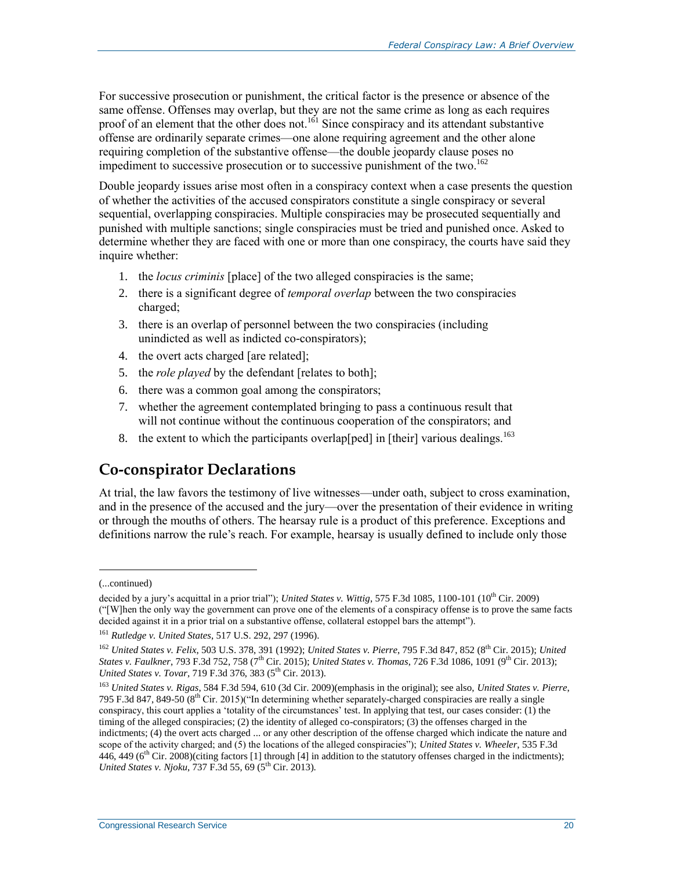For successive prosecution or punishment, the critical factor is the presence or absence of the same offense. Offenses may overlap, but they are not the same crime as long as each requires proof of an element that the other does not.<sup>161</sup> Since conspiracy and its attendant substantive offense are ordinarily separate crimes—one alone requiring agreement and the other alone requiring completion of the substantive offense—the double jeopardy clause poses no impediment to successive prosecution or to successive punishment of the two.<sup>162</sup>

Double jeopardy issues arise most often in a conspiracy context when a case presents the question of whether the activities of the accused conspirators constitute a single conspiracy or several sequential, overlapping conspiracies. Multiple conspiracies may be prosecuted sequentially and punished with multiple sanctions; single conspiracies must be tried and punished once. Asked to determine whether they are faced with one or more than one conspiracy, the courts have said they inquire whether:

- 1. the *locus criminis* [place] of the two alleged conspiracies is the same;
- 2. there is a significant degree of *temporal overlap* between the two conspiracies charged;
- 3. there is an overlap of personnel between the two conspiracies (including unindicted as well as indicted co-conspirators);
- 4. the overt acts charged [are related];
- 5. the *role played* by the defendant [relates to both];
- 6. there was a common goal among the conspirators;
- 7. whether the agreement contemplated bringing to pass a continuous result that will not continue without the continuous cooperation of the conspirators; and
- 8. the extent to which the participants overlap [ped] in [their] various dealings.<sup>163</sup>

### **Co-conspirator Declarations**

At trial, the law favors the testimony of live witnesses—under oath, subject to cross examination, and in the presence of the accused and the jury—over the presentation of their evidence in writing or through the mouths of others. The hearsay rule is a product of this preference. Exceptions and definitions narrow the rule's reach. For example, hearsay is usually defined to include only those

l

<sup>(...</sup>continued)

decided by a jury's acquittal in a prior trial"); *United States v. Wittig*, 575 F.3d 1085, 1100-101 (10<sup>th</sup> Cir. 2009) ("[W]hen the only way the government can prove one of the elements of a conspiracy offense is to prove the same facts decided against it in a prior trial on a substantive offense, collateral estoppel bars the attempt").

<sup>161</sup> *Rutledge v. United States*, 517 U.S. 292, 297 (1996).

<sup>&</sup>lt;sup>162</sup> *United States v. Felix*, 503 U.S. 378, 391 (1992); *United States v. Pierre*, 795 F.3d 847, 852 (8<sup>th</sup> Cir. 2015); *United States v. Faulkner*, 793 F.3d 752, 758 (7<sup>th</sup> Cir. 2015); *United States v. Thomas*, 726 F.3d 1086, 1091 (9<sup>th</sup> Cir. 2013); *United States v. Tovar*, 719 F.3d 376, 383 (5<sup>th</sup> Cir. 2013).

<sup>163</sup> *United States v. Rigas*, 584 F.3d 594, 610 (3d Cir. 2009)(emphasis in the original); see also, *United States v. Pierre*, 795 F.3d 847, 849-50  $(8<sup>th</sup>$  Cir. 2015)("In determining whether separately-charged conspiracies are really a single conspiracy, this court applies a 'totality of the circumstances' test. In applying that test, our cases consider: (1) the timing of the alleged conspiracies; (2) the identity of alleged co-conspirators; (3) the offenses charged in the indictments; (4) the overt acts charged ... or any other description of the offense charged which indicate the nature and scope of the activity charged; and (5) the locations of the alleged conspiracies"); *United States v. Wheeler*, 535 F.3d 446, 449 ( $6<sup>th</sup>$  Cir. 2008)(citing factors [1] through [4] in addition to the statutory offenses charged in the indictments); *United States v. Njoku*, 737 F.3d 55, 69 (5<sup>th</sup> Cir. 2013).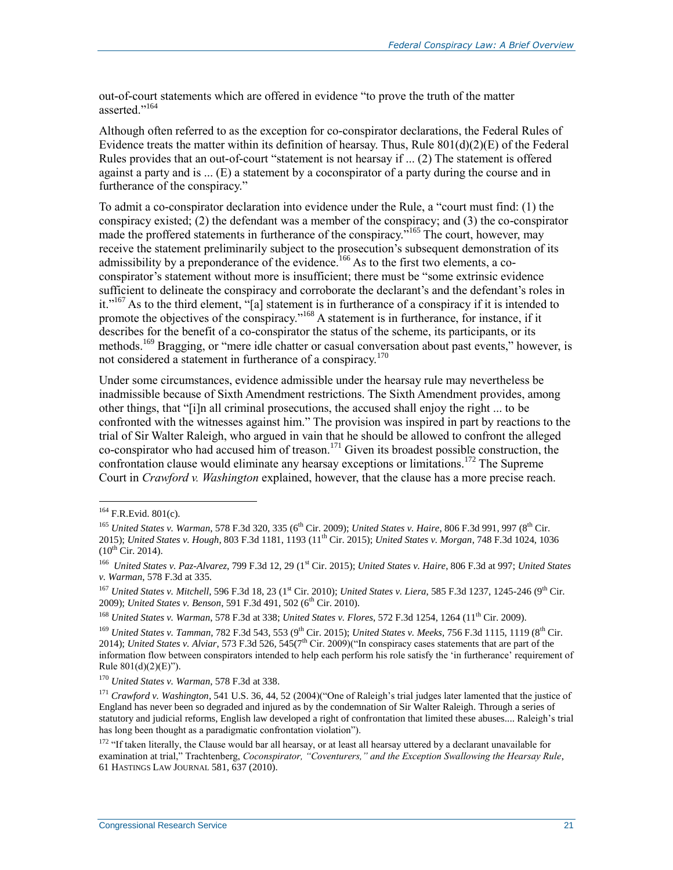out-of-court statements which are offered in evidence "to prove the truth of the matter asserted."<sup>164</sup>

Although often referred to as the exception for co-conspirator declarations, the Federal Rules of Evidence treats the matter within its definition of hearsay. Thus, Rule  $801(d)(2)(E)$  of the Federal Rules provides that an out-of-court "statement is not hearsay if ... (2) The statement is offered against a party and is ... (E) a statement by a coconspirator of a party during the course and in furtherance of the conspiracy."

To admit a co-conspirator declaration into evidence under the Rule, a "court must find: (1) the conspiracy existed; (2) the defendant was a member of the conspiracy; and (3) the co-conspirator made the proffered statements in furtherance of the conspiracy."<sup>165</sup> The court, however, may receive the statement preliminarily subject to the prosecution's subsequent demonstration of its admissibility by a preponderance of the evidence.<sup>166</sup> As to the first two elements, a coconspirator's statement without more is insufficient; there must be "some extrinsic evidence sufficient to delineate the conspiracy and corroborate the declarant's and the defendant's roles in it."<sup>167</sup> As to the third element, "[a] statement is in furtherance of a conspiracy if it is intended to promote the objectives of the conspiracy."<sup>168</sup> A statement is in furtherance, for instance, if it describes for the benefit of a co-conspirator the status of the scheme, its participants, or its methods.<sup>169</sup> Bragging, or "mere idle chatter or casual conversation about past events," however, is not considered a statement in furtherance of a conspiracy.<sup>170</sup>

Under some circumstances, evidence admissible under the hearsay rule may nevertheless be inadmissible because of Sixth Amendment restrictions. The Sixth Amendment provides, among other things, that "[i]n all criminal prosecutions, the accused shall enjoy the right ... to be confronted with the witnesses against him." The provision was inspired in part by reactions to the trial of Sir Walter Raleigh, who argued in vain that he should be allowed to confront the alleged co-conspirator who had accused him of treason.<sup>171</sup> Given its broadest possible construction, the confrontation clause would eliminate any hearsay exceptions or limitations.<sup>172</sup> The Supreme Court in *Crawford v. Washington* explained, however, that the clause has a more precise reach.

 $\overline{a}$ 

<sup>168</sup> *United States v. Warman, 578 F.3d at 338; United States v. Flores, 572 F.3d 1254, 1264 (11<sup>th</sup> Cir. 2009).* 

 $164$  F.R.Evid. 801(c).

<sup>165</sup> *United States v. Warman*, 578 F.3d 320, 335 (6th Cir. 2009); *United States v. Haire*, 806 F.3d 991, 997 (8th Cir. 2015); *United States v. Hough*, 803 F.3d 1181, 1193 (11th Cir. 2015); *United States v. Morgan*, 748 F.3d 1024, 1036  $(10^{th}$  Cir. 2014).

<sup>166</sup> *United States v. Paz-Alvarez*, 799 F.3d 12, 29 (1st Cir. 2015); *United States v. Haire*, 806 F.3d at 997; *United States v. Warman*, 578 F.3d at 335.

<sup>167</sup> *United States v. Mitchell*, 596 F.3d 18, 23 (1<sup>st</sup> Cir. 2010); *United States v. Liera*, 585 F.3d 1237, 1245-246 (9<sup>th</sup> Cir. 2009); *United States v. Benson*, 591 F.3d 491, 502 (6<sup>th</sup> Cir. 2010).

<sup>169</sup> *United States v. Tamman*, 782 F.3d 543, 553 (9th Cir. 2015); *United States v. Meeks*, 756 F.3d 1115, 1119 (8th Cir. 2014); *United States v. Alviar*, 573 F.3d 526, 545(7<sup>th</sup> Cir. 2009)("In conspiracy cases statements that are part of the information flow between conspirators intended to help each perform his role satisfy the 'in furtherance' requirement of Rule  $801(d)(2)(E)$ ").

<sup>170</sup> *United States v. Warman*, 578 F.3d at 338.

<sup>171</sup> *Crawford v. Washington*, 541 U.S. 36, 44, 52 (2004)("One of Raleigh's trial judges later lamented that the justice of England has never been so degraded and injured as by the condemnation of Sir Walter Raleigh. Through a series of statutory and judicial reforms, English law developed a right of confrontation that limited these abuses.... Raleigh's trial has long been thought as a paradigmatic confrontation violation").

<sup>&</sup>lt;sup>172</sup> "If taken literally, the Clause would bar all hearsay, or at least all hearsay uttered by a declarant unavailable for examination at trial," Trachtenberg, *Coconspirator, "Coventurers," and the Exception Swallowing the Hearsay Rule*, 61 HASTINGS LAW JOURNAL 581, 637 (2010).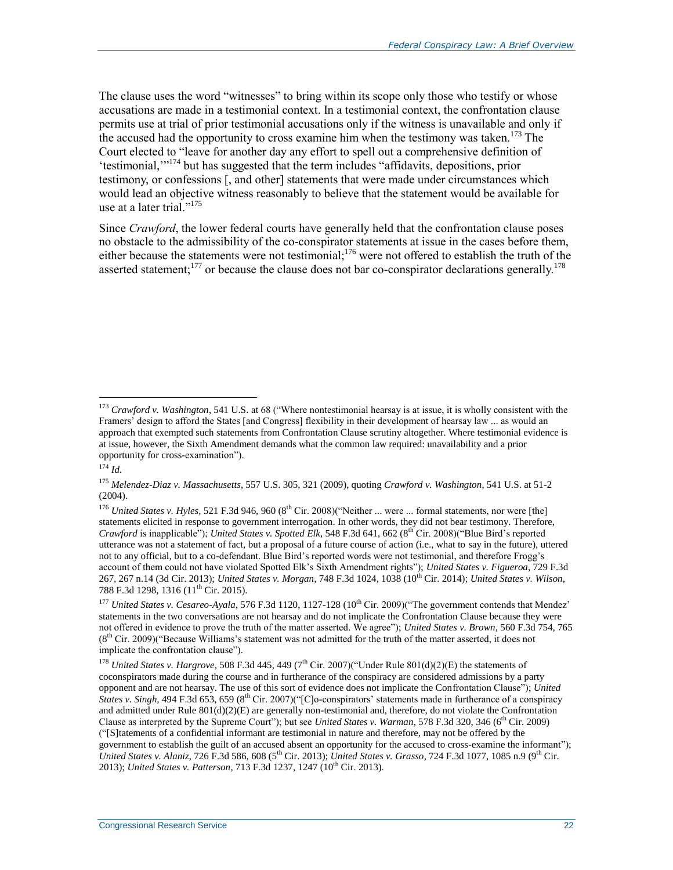The clause uses the word "witnesses" to bring within its scope only those who testify or whose accusations are made in a testimonial context. In a testimonial context, the confrontation clause permits use at trial of prior testimonial accusations only if the witness is unavailable and only if the accused had the opportunity to cross examine him when the testimony was taken.<sup>173</sup> The Court elected to "leave for another day any effort to spell out a comprehensive definition of 'testimonial,'"<sup>174</sup> but has suggested that the term includes "affidavits, depositions, prior testimony, or confessions [, and other] statements that were made under circumstances which would lead an objective witness reasonably to believe that the statement would be available for use at a later trial."<sup>175</sup>

Since *Crawford*, the lower federal courts have generally held that the confrontation clause poses no obstacle to the admissibility of the co-conspirator statements at issue in the cases before them, either because the statements were not testimonial;<sup>176</sup> were not offered to establish the truth of the asserted statement;<sup>177</sup> or because the clause does not bar co-conspirator declarations generally.<sup>178</sup>

<sup>173</sup> *Crawford v. Washington*, 541 U.S. at 68 ("Where nontestimonial hearsay is at issue, it is wholly consistent with the Framers' design to afford the States [and Congress] flexibility in their development of hearsay law ... as would an approach that exempted such statements from Confrontation Clause scrutiny altogether. Where testimonial evidence is at issue, however, the Sixth Amendment demands what the common law required: unavailability and a prior opportunity for cross-examination").

<sup>174</sup> *Id.*

<sup>175</sup> *Melendez-Diaz v. Massachusetts*, 557 U.S. 305, 321 (2009), quoting *Crawford v. Washington*, 541 U.S. at 51-2 (2004).

<sup>&</sup>lt;sup>176</sup> *United States v. Hyles*, 521 F.3d 946, 960 (8<sup>th</sup> Cir. 2008)("Neither ... were ... formal statements, nor were [the] statements elicited in response to government interrogation. In other words, they did not bear testimony. Therefore, *Crawford* is inapplicable"); *United States v. Spotted Elk*, 548 F.3d 641, 662 (8th Cir. 2008)("Blue Bird's reported utterance was not a statement of fact, but a proposal of a future course of action (i.e., what to say in the future), uttered not to any official, but to a co-defendant. Blue Bird's reported words were not testimonial, and therefore Frogg's account of them could not have violated Spotted Elk's Sixth Amendment rights"); *United States v. Figueroa*, 729 F.3d 267, 267 n.14 (3d Cir. 2013); *United States v. Morgan*, 748 F.3d 1024, 1038 (10th Cir. 2014); *United States v. Wilson*, 788 F.3d 1298, 1316 (11<sup>th</sup> Cir. 2015).

<sup>&</sup>lt;sup>177</sup> *United States v. Cesareo-Ayala*, 576 F.3d 1120, 1127-128 (10<sup>th</sup> Cir. 2009)("The government contends that Mendez' statements in the two conversations are not hearsay and do not implicate the Confrontation Clause because they were not offered in evidence to prove the truth of the matter asserted. We agree"); *United States v. Brown*, 560 F.3d 754, 765  $(8<sup>th</sup> Cir. 2009)'$  Because Williams's statement was not admitted for the truth of the matter asserted, it does not implicate the confrontation clause").

<sup>&</sup>lt;sup>178</sup> *United States v. Hargrove*, 508 F.3d 445, 449 (7<sup>th</sup> Cir. 2007)("Under Rule 801(d)(2)(E) the statements of coconspirators made during the course and in furtherance of the conspiracy are considered admissions by a party opponent and are not hearsay. The use of this sort of evidence does not implicate the Confrontation Clause"); *United States v. Singh*, 494 F.3d 653, 659 (8<sup>th</sup> Cir. 2007)("[C]o-conspirators' statements made in furtherance of a conspiracy and admitted under Rule 801(d)(2)(E) are generally non-testimonial and, therefore, do not violate the Confrontation Clause as interpreted by the Supreme Court"); but see *United States v. Warman*, 578 F.3d 320, 346 ( $6<sup>th</sup>$  Cir. 2009) ("[S]tatements of a confidential informant are testimonial in nature and therefore, may not be offered by the government to establish the guilt of an accused absent an opportunity for the accused to cross-examine the informant"); *United States v. Alaniz*, 726 F.3d 586, 608 (5th Cir. 2013); *United States v. Grasso*, 724 F.3d 1077, 1085 n.9 (9th Cir. 2013); *United States v. Patterson*, 713 F.3d 1237, 1247 (10<sup>th</sup> Cir. 2013).